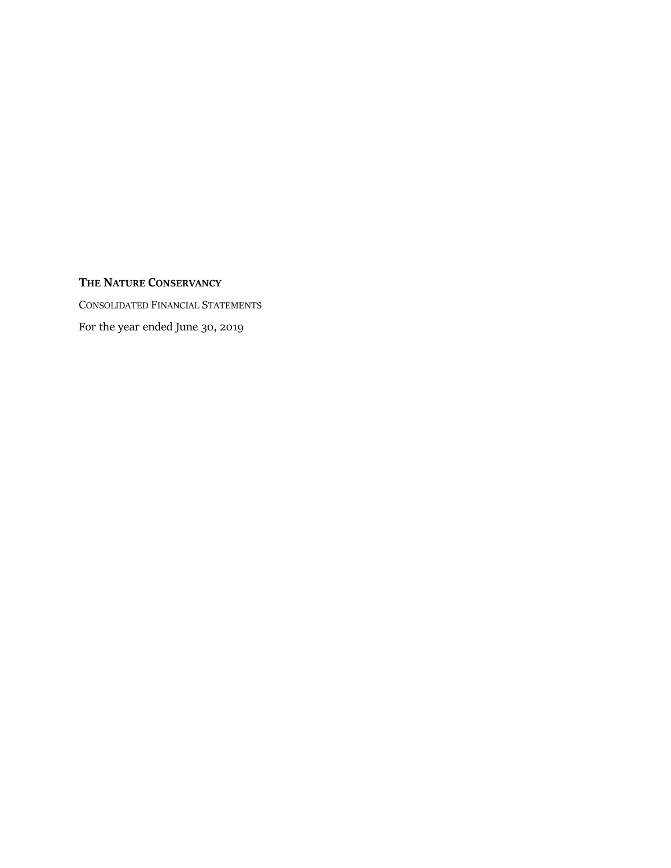# **THE NATURE CONSERVANCY**

CONSOLIDATED FINANCIAL STATEMENTS For the year ended June 30, 2019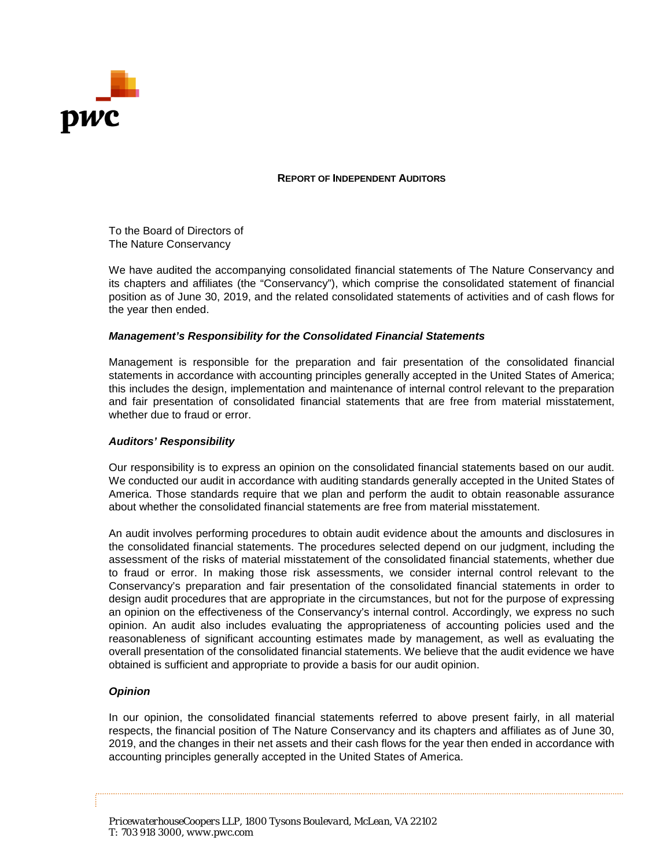

## **REPORT OF INDEPENDENT AUDITORS**

To the Board of Directors of The Nature Conservancy

We have audited the accompanying consolidated financial statements of The Nature Conservancy and its chapters and affiliates (the "Conservancy"), which comprise the consolidated statement of financial position as of June 30, 2019, and the related consolidated statements of activities and of cash flows for the year then ended.

## *Management's Responsibility for the Consolidated Financial Statements*

Management is responsible for the preparation and fair presentation of the consolidated financial statements in accordance with accounting principles generally accepted in the United States of America; this includes the design, implementation and maintenance of internal control relevant to the preparation and fair presentation of consolidated financial statements that are free from material misstatement, whether due to fraud or error.

## *Auditors' Responsibility*

Our responsibility is to express an opinion on the consolidated financial statements based on our audit. We conducted our audit in accordance with auditing standards generally accepted in the United States of America. Those standards require that we plan and perform the audit to obtain reasonable assurance about whether the consolidated financial statements are free from material misstatement.

An audit involves performing procedures to obtain audit evidence about the amounts and disclosures in the consolidated financial statements. The procedures selected depend on our judgment, including the assessment of the risks of material misstatement of the consolidated financial statements, whether due to fraud or error. In making those risk assessments, we consider internal control relevant to the Conservancy's preparation and fair presentation of the consolidated financial statements in order to design audit procedures that are appropriate in the circumstances, but not for the purpose of expressing an opinion on the effectiveness of the Conservancy's internal control. Accordingly, we express no such opinion. An audit also includes evaluating the appropriateness of accounting policies used and the reasonableness of significant accounting estimates made by management, as well as evaluating the overall presentation of the consolidated financial statements. We believe that the audit evidence we have obtained is sufficient and appropriate to provide a basis for our audit opinion.

## *Opinion*

In our opinion, the consolidated financial statements referred to above present fairly, in all material respects, the financial position of The Nature Conservancy and its chapters and affiliates as of June 30, 2019, and the changes in their net assets and their cash flows for the year then ended in accordance with accounting principles generally accepted in the United States of America.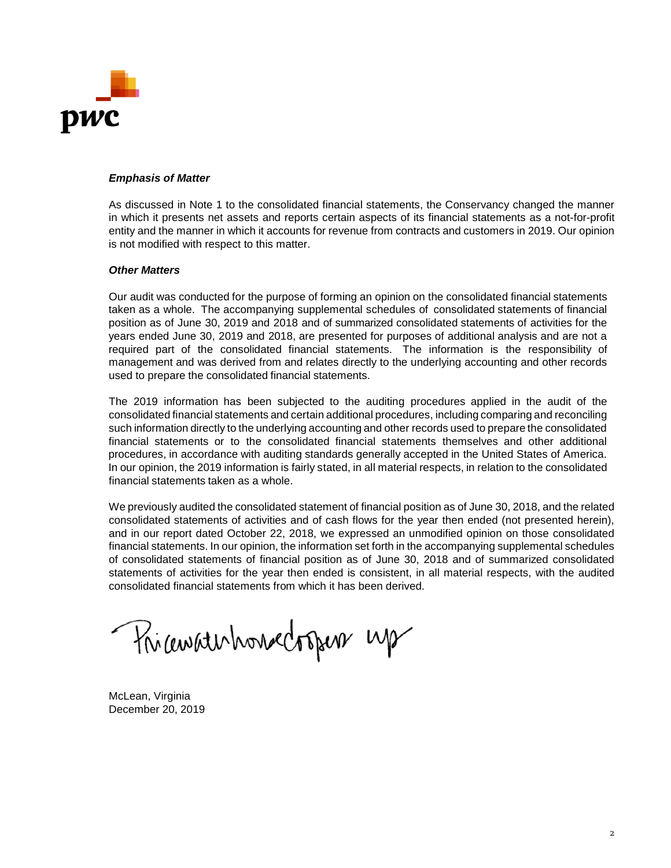

## *Emphasis of Matter*

As discussed in Note 1 to the consolidated financial statements, the Conservancy changed the manner in which it presents net assets and reports certain aspects of its financial statements as a not-for-profit entity and the manner in which it accounts for revenue from contracts and customers in 2019. Our opinion is not modified with respect to this matter.

## *Other Matters*

Our audit was conducted for the purpose of forming an opinion on the consolidated financial statements taken as a whole. The accompanying supplemental schedules of consolidated statements of financial position as of June 30, 2019 and 2018 and of summarized consolidated statements of activities for the years ended June 30, 2019 and 2018, are presented for purposes of additional analysis and are not a required part of the consolidated financial statements. The information is the responsibility of management and was derived from and relates directly to the underlying accounting and other records used to prepare the consolidated financial statements.

The 2019 information has been subjected to the auditing procedures applied in the audit of the consolidated financial statements and certain additional procedures, including comparing and reconciling such information directly to the underlying accounting and other records used to prepare the consolidated financial statements or to the consolidated financial statements themselves and other additional procedures, in accordance with auditing standards generally accepted in the United States of America. In our opinion, the 2019 information is fairly stated, in all material respects, in relation to the consolidated financial statements taken as a whole.

We previously audited the consolidated statement of financial position as of June 30, 2018, and the related consolidated statements of activities and of cash flows for the year then ended (not presented herein), and in our report dated October 22, 2018, we expressed an unmodified opinion on those consolidated financial statements. In our opinion, the information set forth in the accompanying supplemental schedules of consolidated statements of financial position as of June 30, 2018 and of summarized consolidated statements of activities for the year then ended is consistent, in all material respects, with the audited consolidated financial statements from which it has been derived.

Phicavaterhorsectopers up

McLean, Virginia December 20, 2019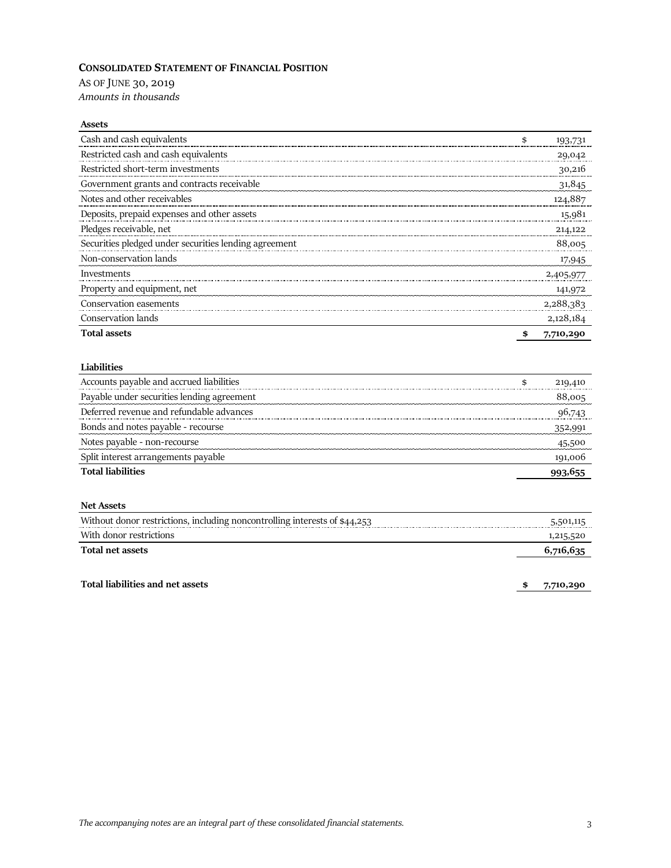## **CONSOLIDATED STATEMENT OF FINANCIAL POSITION**

AS OF JUNE 30, 2019 *Amounts in thousands*

#### **Assets**

| Cash and cash equivalents                             | 193,731         |
|-------------------------------------------------------|-----------------|
| Restricted cash and cash equivalents                  | 29,042          |
| Restricted short-term investments                     | 30,216          |
| Government grants and contracts receivable            | 31,845          |
| Notes and other receivables                           | 124,887         |
| Deposits, prepaid expenses and other assets           | 15,981          |
| Pledges receivable, net                               | 214,122         |
| Securities pledged under securities lending agreement | 88,005          |
| Non-conservation lands                                | 17,945          |
| Investments                                           | 2,405,977       |
| Property and equipment, net                           | 141,972         |
| Conservation easements                                | 2,288,383       |
| Conservation lands                                    | 2,128,184       |
| <b>Total assets</b>                                   | \$<br>7,710,290 |

#### **Liabilities**

| Accounts payable and accrued liabilities   | 219,410 |
|--------------------------------------------|---------|
| Payable under securities lending agreement | 88,005  |
| Deferred revenue and refundable advances   | 96,743  |
| Bonds and notes payable - recourse         | 352,991 |
| Notes payable - non-recourse               |         |
| Split interest arrangements payable        | 191,00t |
| <b>Total liabilities</b>                   |         |

## **Net Assets**

| Without donor restrictions, including noncontrolling interests of \$44,253 | 5,501,115 |
|----------------------------------------------------------------------------|-----------|
| With donor restrictions                                                    | 1,215,520 |
| Total net assets                                                           | 6.716.635 |

## **Total liabilities and net assets \$ 7,710,290**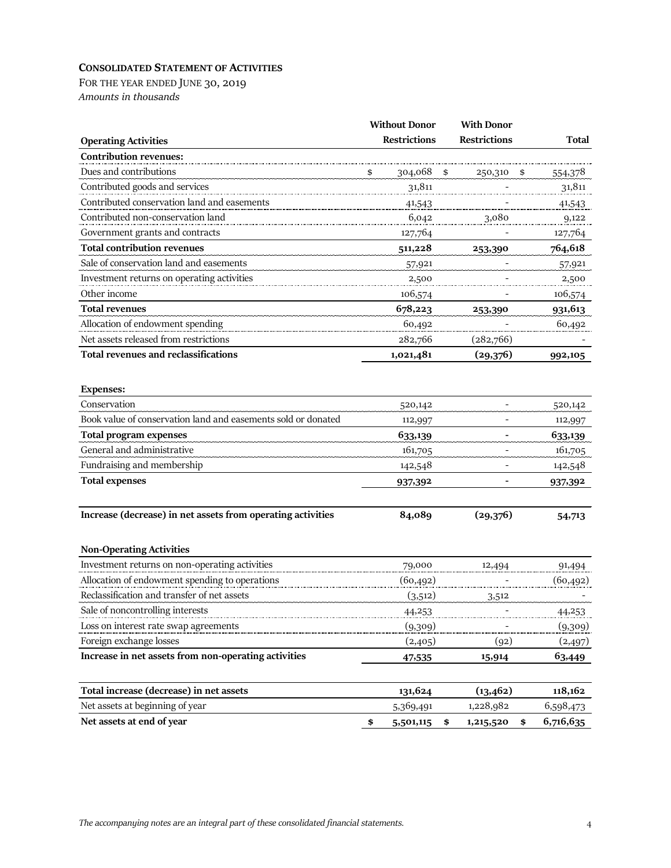## **CONSOLIDATED STATEMENT OF ACTIVITIES**

FOR THE YEAR ENDED JUNE 30, 2019 *Amounts in thousands*

|                                                               | <b>Without Donor</b>  | <b>With Donor</b>        |           |
|---------------------------------------------------------------|-----------------------|--------------------------|-----------|
| <b>Operating Activities</b>                                   | <b>Restrictions</b>   | <b>Restrictions</b>      | Total     |
| <b>Contribution revenues:</b>                                 |                       |                          |           |
| Dues and contributions                                        | \$<br>304,068         | 250,310                  | 554,378   |
| Contributed goods and services                                | 31,811                |                          | 31,811    |
| Contributed conservation land and easements                   | 41,543                |                          | 41,543    |
| Contributed non-conservation land                             | 6,042                 | 3,080                    | 9,122     |
| Government grants and contracts                               | 127,764               |                          | 127,764   |
| <b>Total contribution revenues</b>                            | 511,228               | 253,390                  | 764,618   |
| Sale of conservation land and easements                       | 57,921                |                          | 57,921    |
| Investment returns on operating activities                    | 2,500                 |                          | 2,500     |
| Other income                                                  | 106,574               |                          | 106,574   |
| <b>Total revenues</b>                                         | 678,223               | 253,390                  | 931,613   |
| Allocation of endowment spending                              | 60,492                |                          | 60,492    |
| Net assets released from restrictions                         | 282,766               | (282,766)                |           |
| <b>Total revenues and reclassifications</b>                   | 1,021,481             | (29,376)                 | 992,105   |
| <b>Expenses:</b>                                              |                       |                          |           |
| Conservation                                                  | 520,142               |                          | 520,142   |
| Book value of conservation land and easements sold or donated | 112,997               |                          | 112,997   |
| <b>Total program expenses</b>                                 | 633,139               |                          | 633,139   |
| General and administrative                                    | 161,705               | $\overline{\phantom{a}}$ | 161,705   |
| Fundraising and membership                                    | 142,548               |                          | 142,548   |
| <b>Total expenses</b>                                         | 937,392               |                          | 937,392   |
|                                                               |                       |                          |           |
| Increase (decrease) in net assets from operating activities   | 84,089                | (29,376)                 | 54,713    |
| <b>Non-Operating Activities</b>                               |                       |                          |           |
| Investment returns on non-operating activities                | 79,000                | 12,494                   | 91,494    |
| Allocation of endowment spending to operations                | (60, 492)             |                          | (60, 492) |
| Reclassification and transfer of net assets                   | (3,512)               | 3,512                    |           |
| Sale of noncontrolling interests                              | 44,253                |                          | 44,453    |
| Loss on interest rate swap agreements                         | (9,309)               |                          | (9,309)   |
| Foreign exchange losses                                       | (2,405)               | (92)                     | (2,497)   |
| Increase in net assets from non-operating activities          | 47,535                | 15,914                   | 63,449    |
| Total increase (decrease) in net assets                       | 131,624               | (13, 462)                | 118,162   |
| Net assets at beginning of year                               | 5,369,491             | 1,228,982                | 6,598,473 |
| Net assets at end of year                                     | \$<br>5,501,115<br>\$ | 1,215,520<br>\$          | 6,716,635 |
|                                                               |                       |                          |           |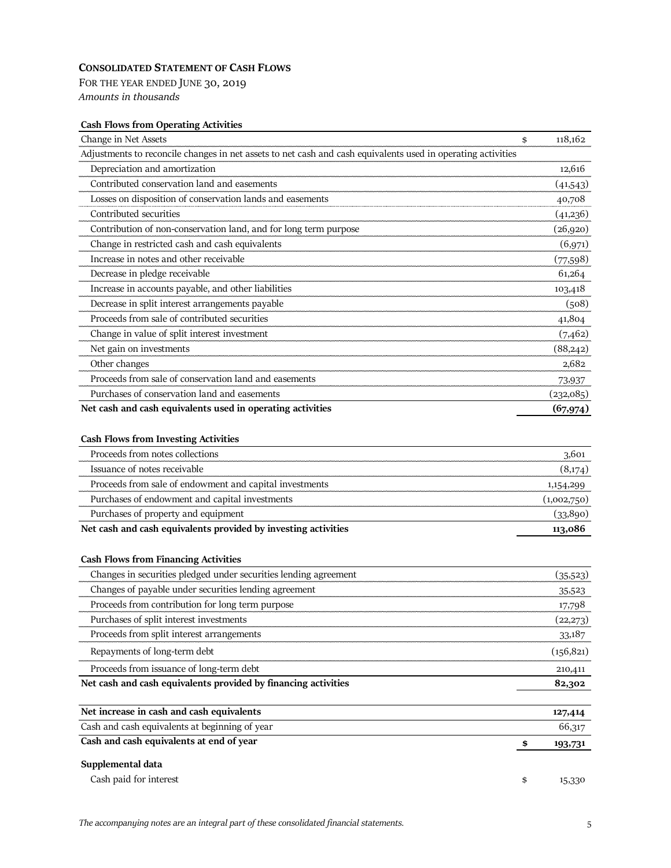## **CONSOLIDATED STATEMENT OF CASH FLOWS**

FOR THE YEAR ENDED JUNE 30, 2019 *Amounts in thousands*

## **Cash Flows from Operating Activities**

| Change in Net Assets                                                                                         | \$<br>118,162 |
|--------------------------------------------------------------------------------------------------------------|---------------|
| Adjustments to reconcile changes in net assets to net cash and cash equivalents used in operating activities |               |
| Depreciation and amortization                                                                                | 12,616        |
| Contributed conservation land and easements                                                                  | (41,543)      |
| Losses on disposition of conservation lands and easements                                                    | 40,708        |
| Contributed securities                                                                                       | (41,236)      |
| Contribution of non-conservation land, and for long term purpose                                             | (26,920)      |
| Change in restricted cash and cash equivalents                                                               | (6,971)       |
| Increase in notes and other receivable                                                                       | (77,598)      |
| Decrease in pledge receivable                                                                                | 61,264        |
| Increase in accounts payable, and other liabilities                                                          | 103,418       |
| Decrease in split interest arrangements payable                                                              | (508)         |
| Proceeds from sale of contributed securities                                                                 | 41,804        |
| Change in value of split interest investment                                                                 | (7,462)       |
| Net gain on investments                                                                                      | (88,242)      |
| Other changes                                                                                                | 2,682         |
| Proceeds from sale of conservation land and easements                                                        | 73,937        |
| Purchases of conservation land and easements                                                                 | (232,085)     |
| Net cash and cash equivalents used in operating activities                                                   | (67, 974)     |

## **Cash Flows from Investing Activities**

| Proceeds from notes collections                                | 3,601       |
|----------------------------------------------------------------|-------------|
| Issuance of notes receivable                                   | (8,174)     |
| Proceeds from sale of endowment and capital investments        | 1,154,299   |
| Purchases of endowment and capital investments                 | (1,002,750) |
| Purchases of property and equipment                            | (33,890)    |
| Net cash and cash equivalents provided by investing activities | 113,086     |

## **Cash Flows from Financing Activities**

| Changes in securities pledged under securities lending agreement | (35,523)     |
|------------------------------------------------------------------|--------------|
| Changes of payable under securities lending agreement            | 35,523       |
| Proceeds from contribution for long term purpose                 | 17,798       |
| Purchases of split interest investments                          | (22,273)     |
| Proceeds from split interest arrangements                        | 33,187       |
| Repayments of long-term debt                                     | (156, 821)   |
| Proceeds from issuance of long-term debt                         | 210,411      |
| Net cash and cash equivalents provided by financing activities   | 82,302       |
| Net increase in cash and cash equivalents                        | 127,414      |
| Cash and cash equivalents at beginning of year                   | 66,317       |
| Cash and cash equivalents at end of year                         | 193,731      |
| Supplemental data                                                |              |
| Cash paid for interest                                           | \$<br>15,330 |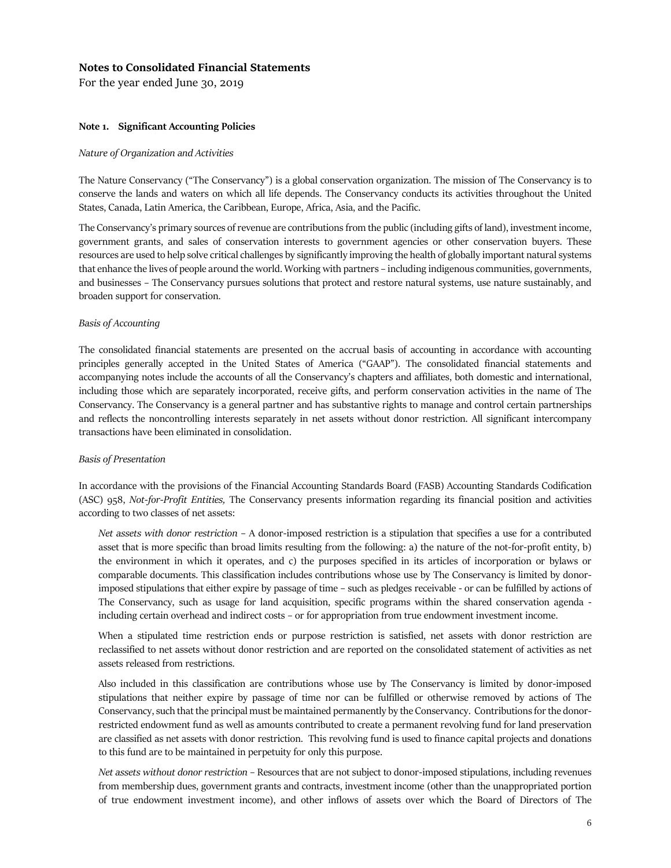For the year ended June 30, 2019

#### **Note 1. Significant Accounting Policies**

#### *Nature of Organization and Activities*

The Nature Conservancy ("The Conservancy") is a global conservation organization. The mission of The Conservancy is to conserve the lands and waters on which all life depends. The Conservancy conducts its activities throughout the United States, Canada, Latin America, the Caribbean, Europe, Africa, Asia, and the Pacific.

The Conservancy's primary sources of revenue are contributions from the public (including gifts of land), investment income, government grants, and sales of conservation interests to government agencies or other conservation buyers. These resources are used to help solve critical challenges by significantly improving the health of globally important natural systems that enhance the lives of people around the world. Working with partners – including indigenous communities, governments, and businesses – The Conservancy pursues solutions that protect and restore natural systems, use nature sustainably, and broaden support for conservation.

#### *Basis of Accounting*

The consolidated financial statements are presented on the accrual basis of accounting in accordance with accounting principles generally accepted in the United States of America ("GAAP"). The consolidated financial statements and accompanying notes include the accounts of all the Conservancy's chapters and affiliates, both domestic and international, including those which are separately incorporated, receive gifts, and perform conservation activities in the name of The Conservancy. The Conservancy is a general partner and has substantive rights to manage and control certain partnerships and reflects the noncontrolling interests separately in net assets without donor restriction. All significant intercompany transactions have been eliminated in consolidation.

#### *Basis of Presentation*

In accordance with the provisions of the Financial Accounting Standards Board (FASB) Accounting Standards Codification (ASC) 958, *Not-for-Profit Entities,* The Conservancy presents information regarding its financial position and activities according to two classes of net assets:

*Net assets with donor restriction* – A donor-imposed restriction is a stipulation that specifies a use for a contributed asset that is more specific than broad limits resulting from the following: a) the nature of the not-for-profit entity, b) the environment in which it operates, and c) the purposes specified in its articles of incorporation or bylaws or comparable documents. This classification includes contributions whose use by The Conservancy is limited by donorimposed stipulations that either expire by passage of time – such as pledges receivable - or can be fulfilled by actions of The Conservancy, such as usage for land acquisition, specific programs within the shared conservation agenda including certain overhead and indirect costs – or for appropriation from true endowment investment income.

When a stipulated time restriction ends or purpose restriction is satisfied, net assets with donor restriction are reclassified to net assets without donor restriction and are reported on the consolidated statement of activities as net assets released from restrictions.

Also included in this classification are contributions whose use by The Conservancy is limited by donor-imposed stipulations that neither expire by passage of time nor can be fulfilled or otherwise removed by actions of The Conservancy, such that the principal must be maintained permanently by the Conservancy. Contributions for the donorrestricted endowment fund as well as amounts contributed to create a permanent revolving fund for land preservation are classified as net assets with donor restriction. This revolving fund is used to finance capital projects and donations to this fund are to be maintained in perpetuity for only this purpose.

*Net assets without donor restriction* – Resources that are not subject to donor-imposed stipulations, including revenues from membership dues, government grants and contracts, investment income (other than the unappropriated portion of true endowment investment income), and other inflows of assets over which the Board of Directors of The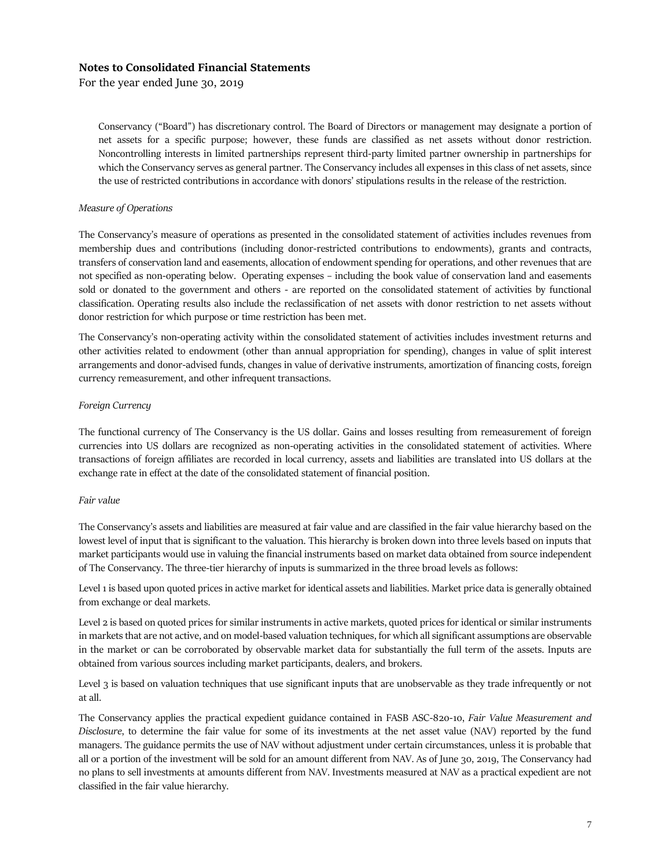For the year ended June 30, 2019

Conservancy ("Board") has discretionary control. The Board of Directors or management may designate a portion of net assets for a specific purpose; however, these funds are classified as net assets without donor restriction. Noncontrolling interests in limited partnerships represent third-party limited partner ownership in partnerships for which the Conservancy serves as general partner. The Conservancy includes all expenses in this class of net assets, since the use of restricted contributions in accordance with donors' stipulations results in the release of the restriction.

#### *Measure of Operations*

The Conservancy's measure of operations as presented in the consolidated statement of activities includes revenues from membership dues and contributions (including donor-restricted contributions to endowments), grants and contracts, transfers of conservation land and easements, allocation of endowment spending for operations, and other revenues that are not specified as non-operating below. Operating expenses – including the book value of conservation land and easements sold or donated to the government and others - are reported on the consolidated statement of activities by functional classification. Operating results also include the reclassification of net assets with donor restriction to net assets without donor restriction for which purpose or time restriction has been met.

The Conservancy's non-operating activity within the consolidated statement of activities includes investment returns and other activities related to endowment (other than annual appropriation for spending), changes in value of split interest arrangements and donor-advised funds, changes in value of derivative instruments, amortization of financing costs, foreign currency remeasurement, and other infrequent transactions.

#### *Foreign Currency*

The functional currency of The Conservancy is the US dollar. Gains and losses resulting from remeasurement of foreign currencies into US dollars are recognized as non-operating activities in the consolidated statement of activities. Where transactions of foreign affiliates are recorded in local currency, assets and liabilities are translated into US dollars at the exchange rate in effect at the date of the consolidated statement of financial position.

#### *Fair value*

The Conservancy's assets and liabilities are measured at fair value and are classified in the fair value hierarchy based on the lowest level of input that is significant to the valuation. This hierarchy is broken down into three levels based on inputs that market participants would use in valuing the financial instruments based on market data obtained from source independent of The Conservancy. The three-tier hierarchy of inputs is summarized in the three broad levels as follows:

Level 1 is based upon quoted prices in active market for identical assets and liabilities. Market price data is generally obtained from exchange or deal markets.

Level 2 is based on quoted prices for similar instruments in active markets, quoted prices for identical or similar instruments in markets that are not active, and on model-based valuation techniques, for which all significant assumptions are observable in the market or can be corroborated by observable market data for substantially the full term of the assets. Inputs are obtained from various sources including market participants, dealers, and brokers.

Level 3 is based on valuation techniques that use significant inputs that are unobservable as they trade infrequently or not at all.

The Conservancy applies the practical expedient guidance contained in FASB ASC-820-10, *Fair Value Measurement and Disclosure*, to determine the fair value for some of its investments at the net asset value (NAV) reported by the fund managers. The guidance permits the use of NAV without adjustment under certain circumstances, unless it is probable that all or a portion of the investment will be sold for an amount different from NAV. As of June 30, 2019, The Conservancy had no plans to sell investments at amounts different from NAV. Investments measured at NAV as a practical expedient are not classified in the fair value hierarchy.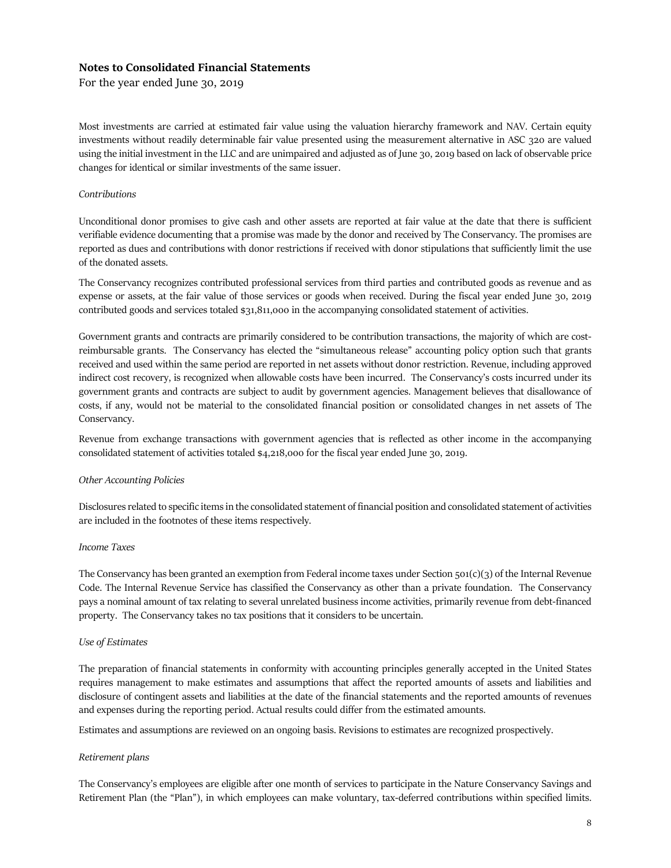For the year ended June 30, 2019

Most investments are carried at estimated fair value using the valuation hierarchy framework and NAV. Certain equity investments without readily determinable fair value presented using the measurement alternative in ASC 320 are valued using the initial investment in the LLC and are unimpaired and adjusted as of June 30, 2019 based on lack of observable price changes for identical or similar investments of the same issuer.

### *Contributions*

Unconditional donor promises to give cash and other assets are reported at fair value at the date that there is sufficient verifiable evidence documenting that a promise was made by the donor and received by The Conservancy. The promises are reported as dues and contributions with donor restrictions if received with donor stipulations that sufficiently limit the use of the donated assets.

The Conservancy recognizes contributed professional services from third parties and contributed goods as revenue and as expense or assets, at the fair value of those services or goods when received. During the fiscal year ended June 30, 2019 contributed goods and services totaled \$31,811,000 in the accompanying consolidated statement of activities.

Government grants and contracts are primarily considered to be contribution transactions, the majority of which are costreimbursable grants. The Conservancy has elected the "simultaneous release" accounting policy option such that grants received and used within the same period are reported in net assets without donor restriction. Revenue, including approved indirect cost recovery, is recognized when allowable costs have been incurred. The Conservancy's costs incurred under its government grants and contracts are subject to audit by government agencies. Management believes that disallowance of costs, if any, would not be material to the consolidated financial position or consolidated changes in net assets of The Conservancy.

Revenue from exchange transactions with government agencies that is reflected as other income in the accompanying consolidated statement of activities totaled \$4,218,000 for the fiscal year ended June 30, 2019.

### *Other Accounting Policies*

Disclosures related to specific items in the consolidated statement of financial position and consolidated statement of activities are included in the footnotes of these items respectively*.*

#### *Income Taxes*

The Conservancy has been granted an exemption from Federal income taxes under Section  $501(c)(3)$  of the Internal Revenue Code. The Internal Revenue Service has classified the Conservancy as other than a private foundation. The Conservancy pays a nominal amount of tax relating to several unrelated business income activities, primarily revenue from debt-financed property. The Conservancy takes no tax positions that it considers to be uncertain.

#### *Use of Estimates*

The preparation of financial statements in conformity with accounting principles generally accepted in the United States requires management to make estimates and assumptions that affect the reported amounts of assets and liabilities and disclosure of contingent assets and liabilities at the date of the financial statements and the reported amounts of revenues and expenses during the reporting period. Actual results could differ from the estimated amounts.

Estimates and assumptions are reviewed on an ongoing basis. Revisions to estimates are recognized prospectively.

### *Retirement plans*

The Conservancy's employees are eligible after one month of services to participate in the Nature Conservancy Savings and Retirement Plan (the "Plan"), in which employees can make voluntary, tax-deferred contributions within specified limits.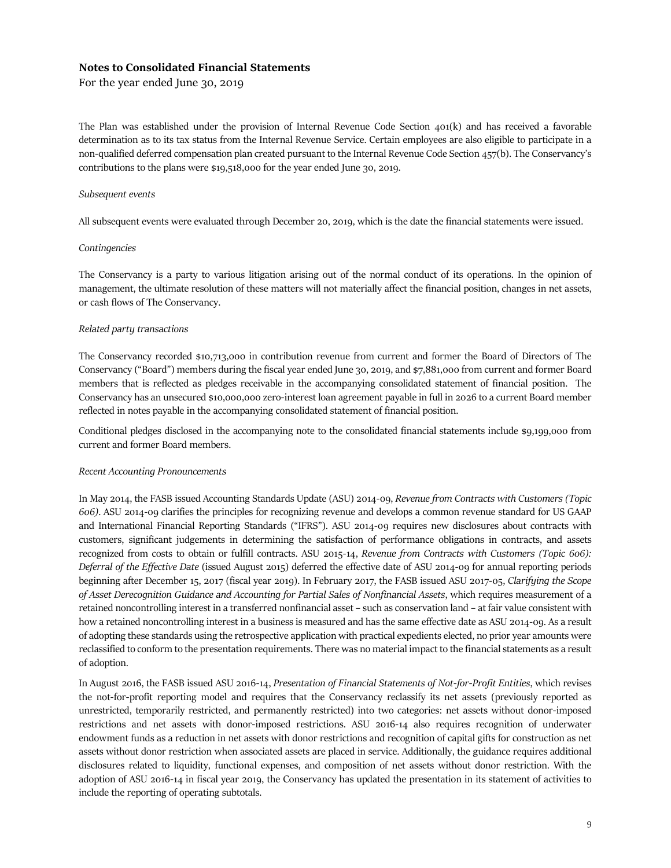For the year ended June 30, 2019

The Plan was established under the provision of Internal Revenue Code Section 401(k) and has received a favorable determination as to its tax status from the Internal Revenue Service. Certain employees are also eligible to participate in a non-qualified deferred compensation plan created pursuant to the Internal Revenue Code Section 457(b). The Conservancy's contributions to the plans were \$19,518,000 for the year ended June 30, 2019.

#### *Subsequent events*

All subsequent events were evaluated through December 20, 2019, which is the date the financial statements were issued.

#### *Contingencies*

The Conservancy is a party to various litigation arising out of the normal conduct of its operations. In the opinion of management, the ultimate resolution of these matters will not materially affect the financial position, changes in net assets, or cash flows of The Conservancy.

#### *Related party transactions*

The Conservancy recorded \$10,713,000 in contribution revenue from current and former the Board of Directors of The Conservancy ("Board") members during the fiscal year ended June 30, 2019, and \$7,881,000 from current and former Board members that is reflected as pledges receivable in the accompanying consolidated statement of financial position. The Conservancy has an unsecured \$10,000,000 zero-interest loan agreement payable in full in 2026 to a current Board member reflected in notes payable in the accompanying consolidated statement of financial position.

Conditional pledges disclosed in the accompanying note to the consolidated financial statements include \$9,199,000 from current and former Board members.

### *Recent Accounting Pronouncements*

In May 2014, the FASB issued Accounting Standards Update (ASU) 2014-09, *Revenue from Contracts with Customers (Topic 606)*. ASU 2014-09 clarifies the principles for recognizing revenue and develops a common revenue standard for US GAAP and International Financial Reporting Standards ("IFRS"). ASU 2014-09 requires new disclosures about contracts with customers, significant judgements in determining the satisfaction of performance obligations in contracts, and assets recognized from costs to obtain or fulfill contracts. ASU 2015-14, *Revenue from Contracts with Customers (Topic 606): Deferral of the Effective Date* (issued August 2015) deferred the effective date of ASU 2014-09 for annual reporting periods beginning after December 15, 2017 (fiscal year 2019). In February 2017, the FASB issued ASU 2017-05, *Clarifying the Scope of Asset Derecognition Guidance and Accounting for Partial Sales of Nonfinancial Assets*, which requires measurement of a retained noncontrolling interest in a transferred nonfinancial asset – such as conservation land – at fair value consistent with how a retained noncontrolling interest in a business is measured and has the same effective date as ASU 2014-09. As a result of adopting these standards using the retrospective application with practical expedients elected, no prior year amounts were reclassified to conform to the presentation requirements. There was no material impact to the financial statements as a result of adoption.

In August 2016, the FASB issued ASU 2016-14, *Presentation of Financial Statements of Not-for-Profit Entities*, which revises the not-for-profit reporting model and requires that the Conservancy reclassify its net assets (previously reported as unrestricted, temporarily restricted, and permanently restricted) into two categories: net assets without donor-imposed restrictions and net assets with donor-imposed restrictions. ASU 2016-14 also requires recognition of underwater endowment funds as a reduction in net assets with donor restrictions and recognition of capital gifts for construction as net assets without donor restriction when associated assets are placed in service. Additionally, the guidance requires additional disclosures related to liquidity, functional expenses, and composition of net assets without donor restriction. With the adoption of ASU 2016-14 in fiscal year 2019, the Conservancy has updated the presentation in its statement of activities to include the reporting of operating subtotals.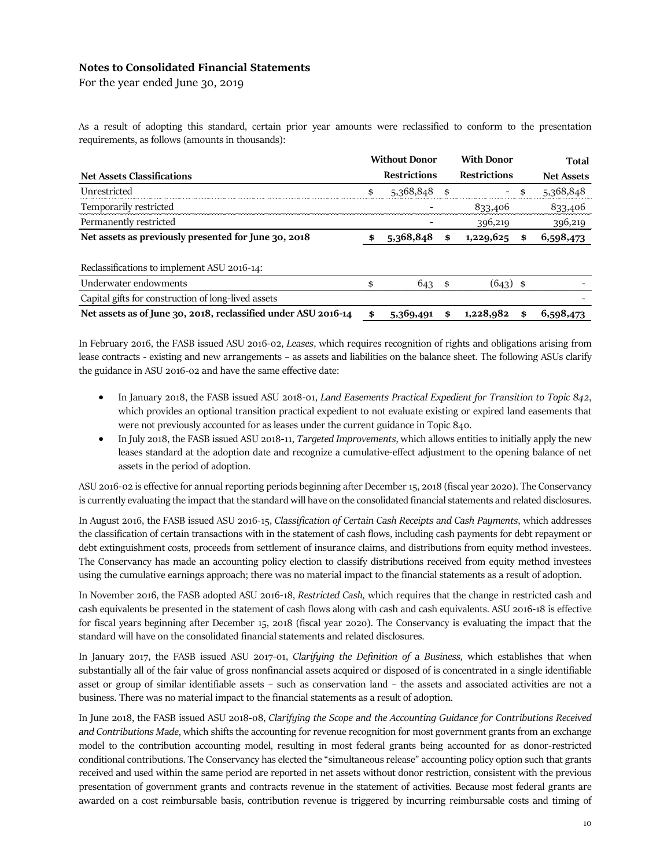For the year ended June 30, 2019

As a result of adopting this standard, certain prior year amounts were reclassified to conform to the presentation requirements, as follows (amounts in thousands):

|                                                                | <b>Without Donor</b> |     | <b>With Donor</b>        | Total             |
|----------------------------------------------------------------|----------------------|-----|--------------------------|-------------------|
| <b>Net Assets Classifications</b>                              | <b>Restrictions</b>  |     | <b>Restrictions</b>      | <b>Net Assets</b> |
| Unrestricted                                                   | \$<br>5,368,848      | \$  | $\overline{\phantom{a}}$ | \$<br>5,368,848   |
| Temporarily restricted                                         |                      |     | 833,406                  | 833,406           |
| Permanently restricted                                         |                      |     | 396,219                  | 396,219           |
| Net assets as previously presented for June 30, 2018           | \$<br>5,368,848      | \$  | 1,229,625                | \$<br>6,598,473   |
| Reclassifications to implement ASU 2016-14:                    |                      |     |                          |                   |
| Underwater endowments                                          | \$<br>643            | -\$ | $(643)$ \$               |                   |
| Capital gifts for construction of long-lived assets            |                      |     |                          |                   |
| Net assets as of June 30, 2018, reclassified under ASU 2016-14 | \$<br>5,369,491      | \$  | 1,228,982                | \$<br>6,598,473   |

In February 2016, the FASB issued ASU 2016-02, *Leases*, which requires recognition of rights and obligations arising from lease contracts - existing and new arrangements – as assets and liabilities on the balance sheet. The following ASUs clarify the guidance in ASU 2016-02 and have the same effective date:

- In January 2018, the FASB issued ASU 2018-01, *Land Easements Practical Expedient for Transition to Topic 842*, which provides an optional transition practical expedient to not evaluate existing or expired land easements that were not previously accounted for as leases under the current guidance in Topic 840.
- In July 2018, the FASB issued ASU 2018-11, *Targeted Improvements*, which allows entities to initially apply the new leases standard at the adoption date and recognize a cumulative-effect adjustment to the opening balance of net assets in the period of adoption.

ASU 2016-02 is effective for annual reporting periods beginning after December 15, 2018 (fiscal year 2020). The Conservancy is currently evaluating the impact that the standard will have on the consolidated financial statements and related disclosures.

In August 2016, the FASB issued ASU 2016-15, *Classification of Certain Cash Receipts and Cash Payments*, which addresses the classification of certain transactions with in the statement of cash flows, including cash payments for debt repayment or debt extinguishment costs, proceeds from settlement of insurance claims, and distributions from equity method investees. The Conservancy has made an accounting policy election to classify distributions received from equity method investees using the cumulative earnings approach; there was no material impact to the financial statements as a result of adoption.

In November 2016, the FASB adopted ASU 2016-18, *Restricted Cash,* which requires that the change in restricted cash and cash equivalents be presented in the statement of cash flows along with cash and cash equivalents. ASU 2016-18 is effective for fiscal years beginning after December 15, 2018 (fiscal year 2020). The Conservancy is evaluating the impact that the standard will have on the consolidated financial statements and related disclosures.

In January 2017, the FASB issued ASU 2017-01, *Clarifying the Definition of a Business,* which establishes that when substantially all of the fair value of gross nonfinancial assets acquired or disposed of is concentrated in a single identifiable asset or group of similar identifiable assets – such as conservation land – the assets and associated activities are not a business. There was no material impact to the financial statements as a result of adoption.

In June 2018, the FASB issued ASU 2018-08, *Clarifying the Scope and the Accounting Guidance for Contributions Received and Contributions Made*, which shifts the accounting for revenue recognition for most government grants from an exchange model to the contribution accounting model, resulting in most federal grants being accounted for as donor-restricted conditional contributions. The Conservancy has elected the "simultaneous release" accounting policy option such that grants received and used within the same period are reported in net assets without donor restriction, consistent with the previous presentation of government grants and contracts revenue in the statement of activities. Because most federal grants are awarded on a cost reimbursable basis, contribution revenue is triggered by incurring reimbursable costs and timing of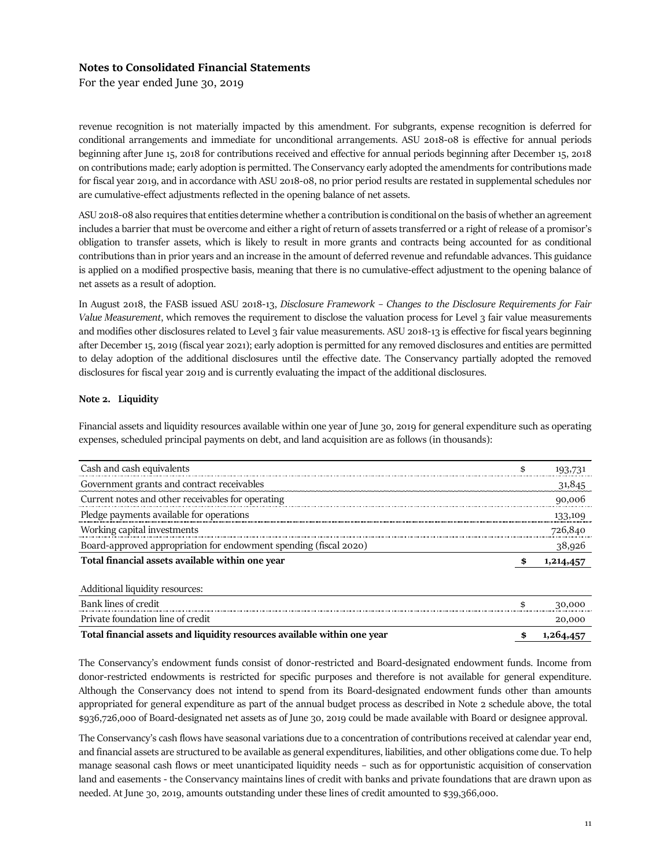For the year ended June 30, 2019

revenue recognition is not materially impacted by this amendment. For subgrants, expense recognition is deferred for conditional arrangements and immediate for unconditional arrangements. ASU 2018-08 is effective for annual periods beginning after June 15, 2018 for contributions received and effective for annual periods beginning after December 15, 2018 on contributions made; early adoption is permitted. The Conservancy early adopted the amendments for contributions made for fiscal year 2019, and in accordance with ASU 2018-08, no prior period results are restated in supplemental schedules nor are cumulative-effect adjustments reflected in the opening balance of net assets.

ASU 2018-08 also requires that entities determine whether a contribution is conditional on the basis of whether an agreement includes a barrier that must be overcome and either a right of return of assets transferred or a right of release of a promisor's obligation to transfer assets, which is likely to result in more grants and contracts being accounted for as conditional contributions than in prior years and an increase in the amount of deferred revenue and refundable advances. This guidance is applied on a modified prospective basis, meaning that there is no cumulative-effect adjustment to the opening balance of net assets as a result of adoption.

In August 2018, the FASB issued ASU 2018-13, *Disclosure Framework – Changes to the Disclosure Requirements for Fair Value Measurement*, which removes the requirement to disclose the valuation process for Level 3 fair value measurements and modifies other disclosures related to Level 3 fair value measurements. ASU 2018-13 is effective for fiscal years beginning after December 15, 2019 (fiscal year 2021); early adoption is permitted for any removed disclosures and entities are permitted to delay adoption of the additional disclosures until the effective date. The Conservancy partially adopted the removed disclosures for fiscal year 2019 and is currently evaluating the impact of the additional disclosures.

## **Note 2. Liquidity**

Financial assets and liquidity resources available within one year of June 30, 2019 for general expenditure such as operating expenses, scheduled principal payments on debt, and land acquisition are as follows (in thousands):

| Cash and cash equivalents                                         | \$<br>193,731        |
|-------------------------------------------------------------------|----------------------|
| Government grants and contract receivables                        | 31,845               |
| Current notes and other receivables for operating                 | 90,006               |
| Pledge payments available for operations                          | 133,109              |
| Working capital investments                                       | 726,840              |
| Board-approved appropriation for endowment spending (fiscal 2020) | 38,926               |
| Total financial assets available within one year                  | 1,214,457            |
| Additional liquidity resources:                                   |                      |
| Bank lines of credit                                              | \$<br>30,000         |
| Private foundation line of credit                                 | 20,000               |
| $-11$ $-11$ $-11$ $-11$                                           | $\sim$ $\sim$ $\sim$ |

**Total financial assets and liquidity resources available within one year 5 1,264,457** 

The Conservancy's endowment funds consist of donor-restricted and Board-designated endowment funds. Income from donor-restricted endowments is restricted for specific purposes and therefore is not available for general expenditure. Although the Conservancy does not intend to spend from its Board-designated endowment funds other than amounts appropriated for general expenditure as part of the annual budget process as described in Note 2 schedule above, the total \$936,726,000 of Board-designated net assets as of June 30, 2019 could be made available with Board or designee approval.

The Conservancy's cash flows have seasonal variations due to a concentration of contributions received at calendar year end, and financial assets are structured to be available as general expenditures, liabilities, and other obligations come due. To help manage seasonal cash flows or meet unanticipated liquidity needs – such as for opportunistic acquisition of conservation land and easements - the Conservancy maintains lines of credit with banks and private foundations that are drawn upon as needed. At June 30, 2019, amounts outstanding under these lines of credit amounted to \$39,366,000.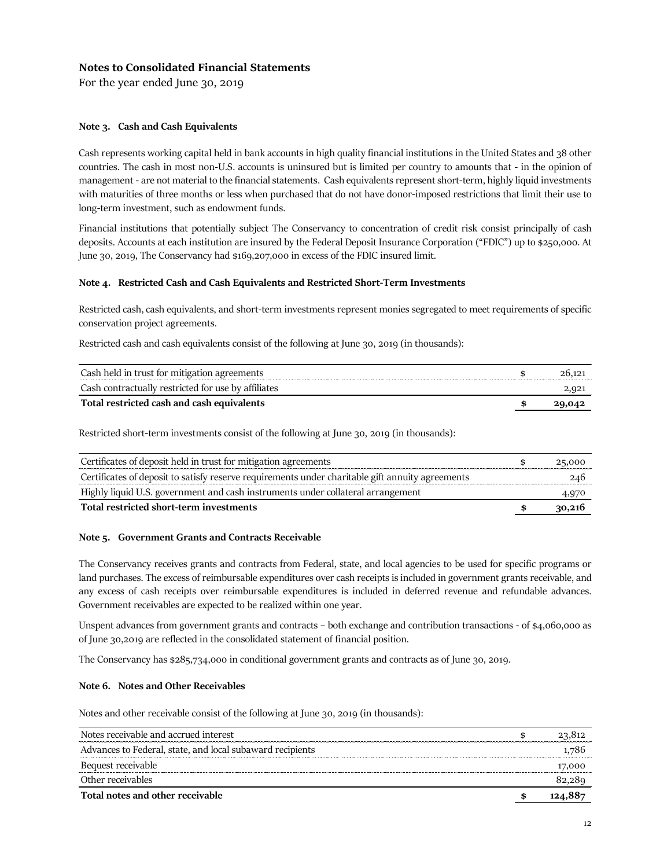For the year ended June 30, 2019

## **Note 3. Cash and Cash Equivalents**

Cash represents working capital held in bank accounts in high quality financial institutions in the United States and 38 other countries. The cash in most non-U.S. accounts is uninsured but is limited per country to amounts that - in the opinion of management - are not material to the financial statements. Cash equivalents represent short-term, highly liquid investments with maturities of three months or less when purchased that do not have donor-imposed restrictions that limit their use to long-term investment, such as endowment funds.

Financial institutions that potentially subject The Conservancy to concentration of credit risk consist principally of cash deposits. Accounts at each institution are insured by the Federal Deposit Insurance Corporation ("FDIC") up to \$250,000. At June 30, 2019, The Conservancy had \$169,207,000 in excess of the FDIC insured limit.

### **Note 4. Restricted Cash and Cash Equivalents and Restricted Short-Term Investments**

Restricted cash, cash equivalents, and short-term investments represent monies segregated to meet requirements of specific conservation project agreements.

Restricted cash and cash equivalents consist of the following at June 30, 2019 (in thousands):

| Cash held in trust for mitigation agreements        |  |
|-----------------------------------------------------|--|
| Cash contractually restricted for use by affiliates |  |
| Total restricted cash and cash equivalents          |  |

Restricted short-term investments consist of the following at June 30, 2019 (in thousands):

| Certificates of deposit held in trust for mitigation agreements                                  | 25,000 |
|--------------------------------------------------------------------------------------------------|--------|
| Certificates of deposit to satisfy reserve requirements under charitable gift annuity agreements |        |
| Highly liquid U.S. government and cash instruments under collateral arrangement                  |        |
| Total restricted short-term investments                                                          | 30,216 |

### **Note 5. Government Grants and Contracts Receivable**

The Conservancy receives grants and contracts from Federal, state, and local agencies to be used for specific programs or land purchases. The excess of reimbursable expenditures over cash receipts is included in government grants receivable, and any excess of cash receipts over reimbursable expenditures is included in deferred revenue and refundable advances. Government receivables are expected to be realized within one year.

Unspent advances from government grants and contracts – both exchange and contribution transactions - of \$4,060,000 as of June 30,2019 are reflected in the consolidated statement of financial position.

The Conservancy has \$285,734,000 in conditional government grants and contracts as of June 30, 2019.

## **Note 6. Notes and Other Receivables**

Notes and other receivable consist of the following at June 30, 2019 (in thousands):

| Notes receivable and accrued interest                     | 23.812 |
|-----------------------------------------------------------|--------|
| Advances to Federal, state, and local subaward recipients | 1.780  |
| Bequest receivable                                        | 17.000 |
| Other receivables                                         |        |
| Total notes and other receivable                          |        |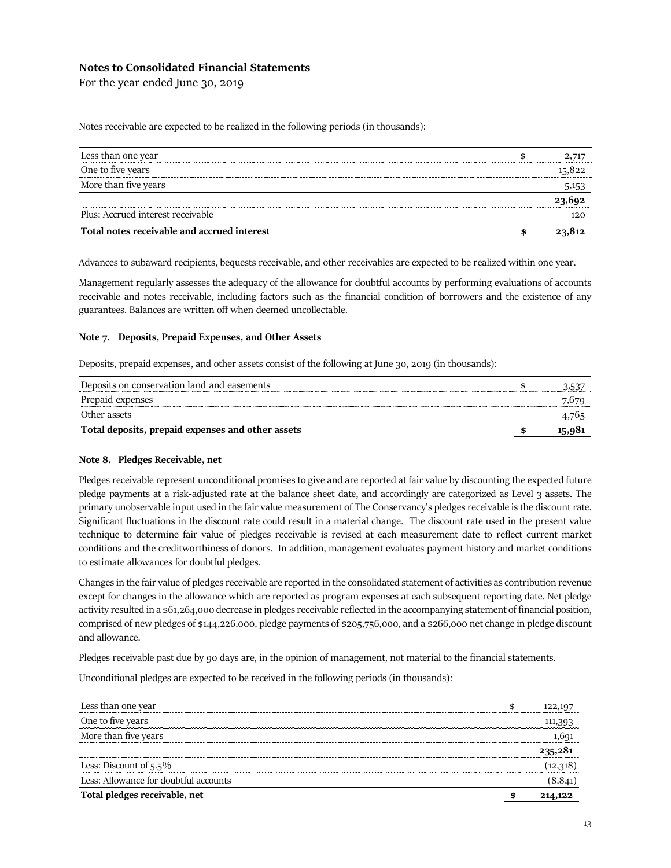For the year ended June 30, 2019

Notes receivable are expected to be realized in the following periods (in thousands):

| Less than one year                          |       |
|---------------------------------------------|-------|
| One to five years                           |       |
| More than five years                        | 5,153 |
|                                             |       |
| Plus: Accrued interest receivable           | 120   |
| Total notes receivable and accrued interest |       |

Advances to subaward recipients, bequests receivable, and other receivables are expected to be realized within one year.

Management regularly assesses the adequacy of the allowance for doubtful accounts by performing evaluations of accounts receivable and notes receivable, including factors such as the financial condition of borrowers and the existence of any guarantees. Balances are written off when deemed uncollectable.

### **Note 7. Deposits, Prepaid Expenses, and Other Assets**

Deposits, prepaid expenses, and other assets consist of the following at June 30, 2019 (in thousands):

| Deposits on conservation land and easements       | ר. נ. ר |
|---------------------------------------------------|---------|
| Prepaid expenses                                  |         |
| Other assets                                      |         |
| Total deposits, prepaid expenses and other assets |         |

### **Note 8. Pledges Receivable, net**

Pledges receivable represent unconditional promises to give and are reported at fair value by discounting the expected future pledge payments at a risk-adjusted rate at the balance sheet date, and accordingly are categorized as Level 3 assets. The primary unobservable input used in the fair value measurement of The Conservancy's pledges receivable is the discount rate. Significant fluctuations in the discount rate could result in a material change. The discount rate used in the present value technique to determine fair value of pledges receivable is revised at each measurement date to reflect current market conditions and the creditworthiness of donors. In addition, management evaluates payment history and market conditions to estimate allowances for doubtful pledges.

Changes in the fair value of pledges receivable are reported in the consolidated statement of activities as contribution revenue except for changes in the allowance which are reported as program expenses at each subsequent reporting date. Net pledge activity resulted in a \$61,264,000 decrease in pledges receivable reflected in the accompanying statement of financial position, comprised of new pledges of \$144,226,000, pledge payments of \$205,756,000, and a \$266,000 net change in pledge discount and allowance.

Pledges receivable past due by 90 days are, in the opinion of management, not material to the financial statements.

Unconditional pledges are expected to be received in the following periods (in thousands):

| Less than one year                    | 122.19  |
|---------------------------------------|---------|
| One to five years                     | 111,393 |
| More than five years                  | 1.691   |
|                                       | 235,281 |
| Less: Discount of $5.5\%$             |         |
| Less: Allowance for doubtful accounts |         |
| Total pledges receivable, net         | 214,122 |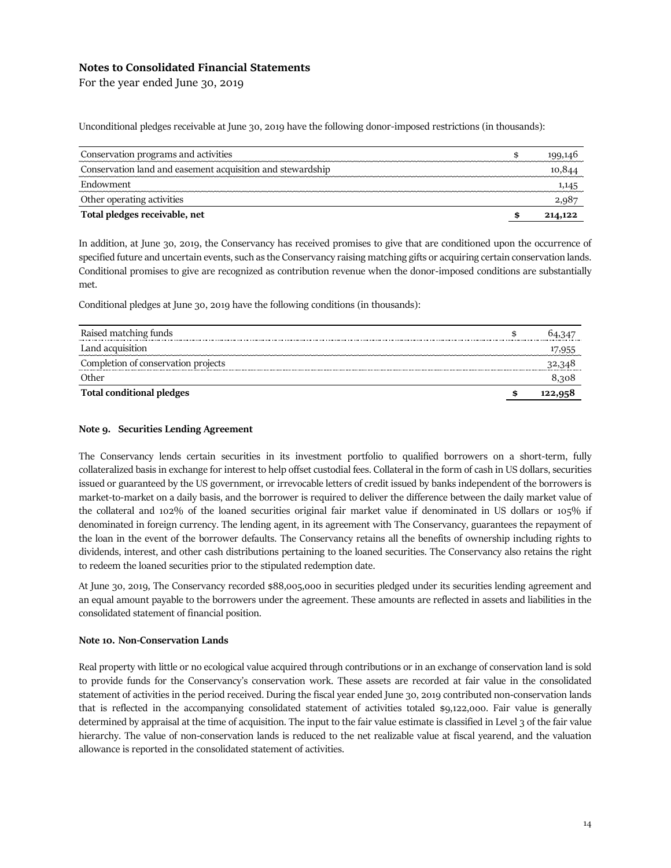For the year ended June 30, 2019

Unconditional pledges receivable at June 30, 2019 have the following donor-imposed restrictions (in thousands):

| Conservation programs and activities                       |         |
|------------------------------------------------------------|---------|
| Conservation land and easement acquisition and stewardship |         |
| Endowment                                                  |         |
| Other operating activities                                 |         |
| Total pledges receivable, net                              | 214,122 |

In addition, at June 30, 2019, the Conservancy has received promises to give that are conditioned upon the occurrence of specified future and uncertain events, such as the Conservancy raising matching gifts or acquiring certain conservation lands. Conditional promises to give are recognized as contribution revenue when the donor-imposed conditions are substantially met.

Conditional pledges at June 30, 2019 have the following conditions (in thousands):

| Raised matching funds               |  |
|-------------------------------------|--|
| Land acquisition                    |  |
| Completion of conservation projects |  |
| )ther                               |  |
| <b>Total conditional pledges</b>    |  |

## **Note 9. Securities Lending Agreement**

The Conservancy lends certain securities in its investment portfolio to qualified borrowers on a short-term, fully collateralized basis in exchange for interest to help offset custodial fees. Collateral in the form of cash in US dollars, securities issued or guaranteed by the US government, or irrevocable letters of credit issued by banks independent of the borrowers is market-to-market on a daily basis, and the borrower is required to deliver the difference between the daily market value of the collateral and 102% of the loaned securities original fair market value if denominated in US dollars or 105% if denominated in foreign currency. The lending agent, in its agreement with The Conservancy, guarantees the repayment of the loan in the event of the borrower defaults. The Conservancy retains all the benefits of ownership including rights to dividends, interest, and other cash distributions pertaining to the loaned securities. The Conservancy also retains the right to redeem the loaned securities prior to the stipulated redemption date.

At June 30, 2019, The Conservancy recorded \$88,005,000 in securities pledged under its securities lending agreement and an equal amount payable to the borrowers under the agreement. These amounts are reflected in assets and liabilities in the consolidated statement of financial position.

### **Note 10. Non-Conservation Lands**

Real property with little or no ecological value acquired through contributions or in an exchange of conservation land is sold to provide funds for the Conservancy's conservation work. These assets are recorded at fair value in the consolidated statement of activities in the period received. During the fiscal year ended June 30, 2019 contributed non-conservation lands that is reflected in the accompanying consolidated statement of activities totaled \$9,122,000. Fair value is generally determined by appraisal at the time of acquisition. The input to the fair value estimate is classified in Level 3 of the fair value hierarchy. The value of non-conservation lands is reduced to the net realizable value at fiscal yearend, and the valuation allowance is reported in the consolidated statement of activities.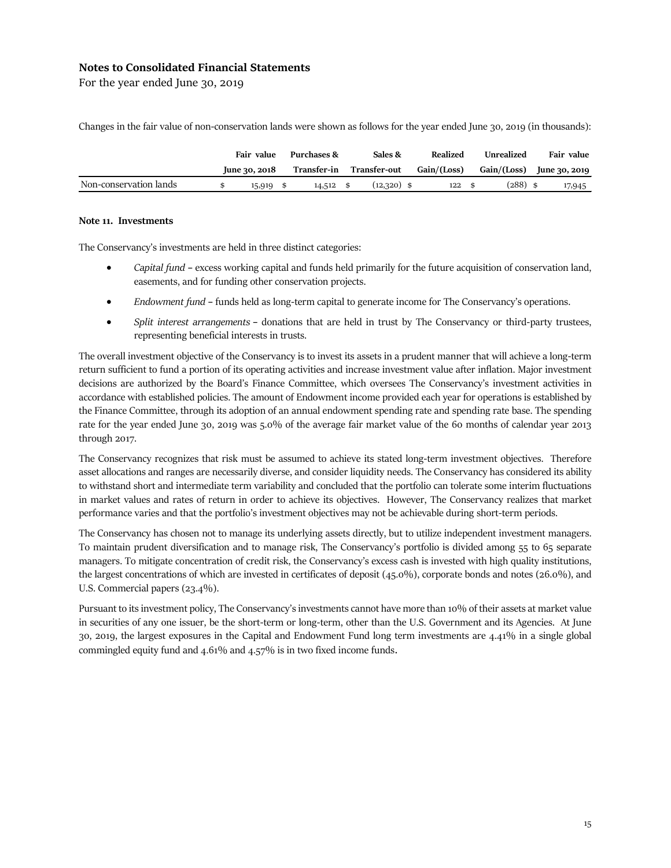For the year ended June 30, 2019

Changes in the fair value of non-conservation lands were shown as follows for the year ended June 30, 2019 (in thousands):

|                        | Fair value |               | Purchases & |             | Sales & |               | Realized    |  | Unrealized  |  | Fair value    |  |
|------------------------|------------|---------------|-------------|-------------|---------|---------------|-------------|--|-------------|--|---------------|--|
|                        |            | June 30, 2018 |             | Transfer-in |         | Transfer-out  | Gain/(Loss) |  | Gain/(Loss) |  | June 30, 2019 |  |
| Non-conservation lands |            | 15,919        |             | $14,512$ \$ |         | $(12,320)$ \$ | 122         |  | $(288)$ \$  |  | 17,945        |  |

#### **Note 11. Investments**

The Conservancy's investments are held in three distinct categories:

- *Capital fund* **–** excess working capital and funds held primarily for the future acquisition of conservation land, easements, and for funding other conservation projects.
- *Endowment fund* **–** funds held as long-term capital to generate income for The Conservancy's operations.
- *Split interest arrangements* donations that are held in trust by The Conservancy or third-party trustees, representing beneficial interests in trusts.

The overall investment objective of the Conservancy is to invest its assets in a prudent manner that will achieve a long-term return sufficient to fund a portion of its operating activities and increase investment value after inflation. Major investment decisions are authorized by the Board's Finance Committee, which oversees The Conservancy's investment activities in accordance with established policies. The amount of Endowment income provided each year for operations is established by the Finance Committee, through its adoption of an annual endowment spending rate and spending rate base. The spending rate for the year ended June 30, 2019 was 5.0% of the average fair market value of the 60 months of calendar year 2013 through 2017.

The Conservancy recognizes that risk must be assumed to achieve its stated long-term investment objectives. Therefore asset allocations and ranges are necessarily diverse, and consider liquidity needs. The Conservancy has considered its ability to withstand short and intermediate term variability and concluded that the portfolio can tolerate some interim fluctuations in market values and rates of return in order to achieve its objectives. However, The Conservancy realizes that market performance varies and that the portfolio's investment objectives may not be achievable during short-term periods.

The Conservancy has chosen not to manage its underlying assets directly, but to utilize independent investment managers. To maintain prudent diversification and to manage risk, The Conservancy's portfolio is divided among 55 to 65 separate managers. To mitigate concentration of credit risk, the Conservancy's excess cash is invested with high quality institutions, the largest concentrations of which are invested in certificates of deposit (45.0%), corporate bonds and notes (26.0%), and U.S. Commercial papers (23.4%).

Pursuant to its investment policy, The Conservancy's investments cannot have more than 10% of their assets at market value in securities of any one issuer, be the short-term or long-term, other than the U.S. Government and its Agencies. At June 30, 2019, the largest exposures in the Capital and Endowment Fund long term investments are 4.41% in a single global commingled equity fund and 4.61% and 4.57% is in two fixed income funds.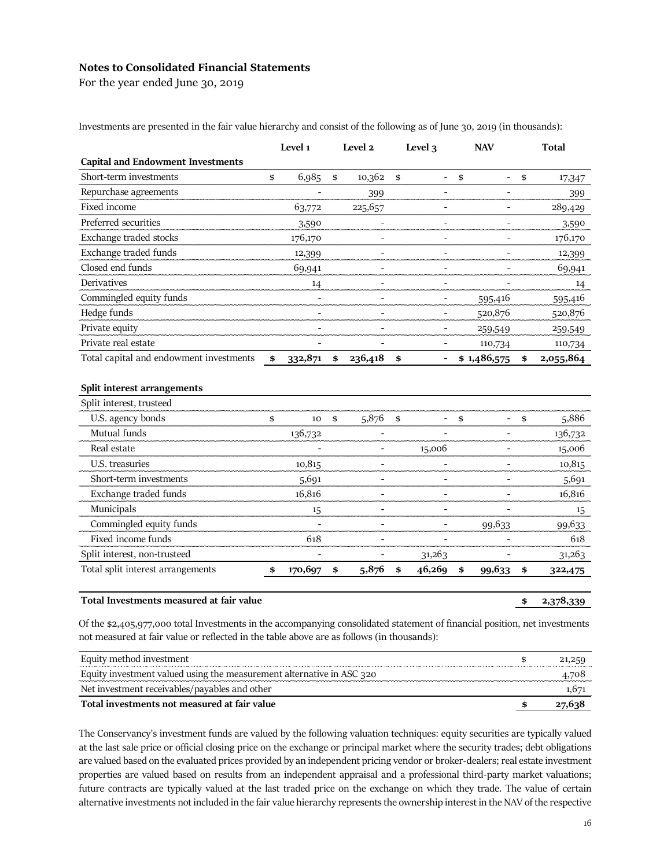For the year ended June 30, 2019

|                                          |     | Level 1 | Level 2                  |                | Level 3                      | <b>NAV</b>           | <b>Total</b>    |
|------------------------------------------|-----|---------|--------------------------|----------------|------------------------------|----------------------|-----------------|
| <b>Capital and Endowment Investments</b> |     |         |                          |                |                              |                      |                 |
| Short-term investments                   | \$  | 6,985   | \$<br>10,362             | $\mathfrak{s}$ | $\overline{\phantom{a}}$     | \$<br>$\blacksquare$ | \$<br>17,347    |
| Repurchase agreements                    |     |         | 399                      |                |                              |                      | 399             |
| Fixed income                             |     | 63,772  | 225,657                  |                |                              |                      | 289,429         |
| Preferred securities                     |     | 3,590   |                          |                |                              | L,                   | 3,590           |
| Exchange traded stocks                   |     | 176,170 | ÷.                       |                | $\blacksquare$               | ÷.                   | 176,170         |
| Exchange traded funds                    |     | 12,399  | ۰                        |                | $\qquad \qquad \blacksquare$ | $\blacksquare$       | 12,399          |
| Closed end funds                         |     | 69,941  | $\equiv$                 |                |                              |                      | 69,941          |
| Derivatives                              |     | 14      | ÷                        |                | $\blacksquare$               |                      | 14              |
| Commingled equity funds                  |     | -       | $\overline{\phantom{a}}$ |                | $\qquad \qquad \blacksquare$ | 595,416              | 595,416         |
| Hedge funds                              |     |         | $\equiv$                 |                | $\overline{\phantom{a}}$     | 520,876              | 520,876         |
| Private equity                           |     |         | $\equiv$                 |                | $\blacksquare$               | 259,549              | 259,549         |
| Private real estate                      |     |         |                          |                |                              | 110,734              | 110,734         |
| Total capital and endowment investments  | -\$ | 332,871 | \$<br>236,418            | \$             | -                            | \$1,486,575          | \$<br>2,055,864 |
| Split interest arrangements              |     |         |                          |                |                              |                      |                 |
| Split interest, trusteed                 |     |         |                          |                |                              |                      |                 |
| U.S. agency bonds                        | \$  | 10      | \$<br>5,876              | \$             |                              | \$<br>-              | \$<br>5,886     |
| Mutual funds                             |     | 136,732 | $\equiv$                 |                |                              | $\equiv$             | 136,732         |
| Real estate                              |     |         | -                        |                | 15,006                       | -                    | 15,006          |
| U.S. treasuries                          |     | 10,815  | ۰                        |                |                              |                      | 10,815          |
| Short-term investments                   |     | 5,691   | ٠                        |                | $\blacksquare$               | $\blacksquare$       | 5,691           |
| Exchange traded funds                    |     | 16,816  | ٠                        |                | $\overline{\phantom{a}}$     | $\blacksquare$       | 16,816          |
| Municipals                               |     | 15      | $\overline{\phantom{a}}$ |                | $\qquad \qquad \blacksquare$ | $\overline{a}$       | 15              |
| Commingled equity funds                  |     |         |                          |                |                              | 99,633               | 99,633          |
| Fixed income funds                       |     | 618     |                          |                |                              |                      | 618             |

Investments are presented in the fair value hierarchy and consist of the following as of June 30, 2019 (in thousands):

## Total Investments measured at fair value **\$ 2,378,339** <br> **\$ 2,378,339**

Of the \$2,405,977,000 total Investments in the accompanying consolidated statement of financial position, net investments not measured at fair value or reflected in the table above are as follows (in thousands):

Split interest, non-trusteed 31,263 - 31,263 Total split interest arrangements **\$ 170,697 \$ 5,876 \$ 46,269 \$ 99,633 \$ 322,475**

| Equity method investment                                              | 21.259 |
|-----------------------------------------------------------------------|--------|
| Equity investment valued using the measurement alternative in ASC 320 | 4.708  |
| Net investment receivables/payables and other                         | 1.671  |
| Total investments not measured at fair value                          |        |

The Conservancy's investment funds are valued by the following valuation techniques: equity securities are typically valued at the last sale price or official closing price on the exchange or principal market where the security trades; debt obligations are valued based on the evaluated prices provided by an independent pricing vendor or broker-dealers; real estate investment properties are valued based on results from an independent appraisal and a professional third-party market valuations; future contracts are typically valued at the last traded price on the exchange on which they trade. The value of certain alternative investments not included in the fair value hierarchy represents the ownership interest in the NAV of the respective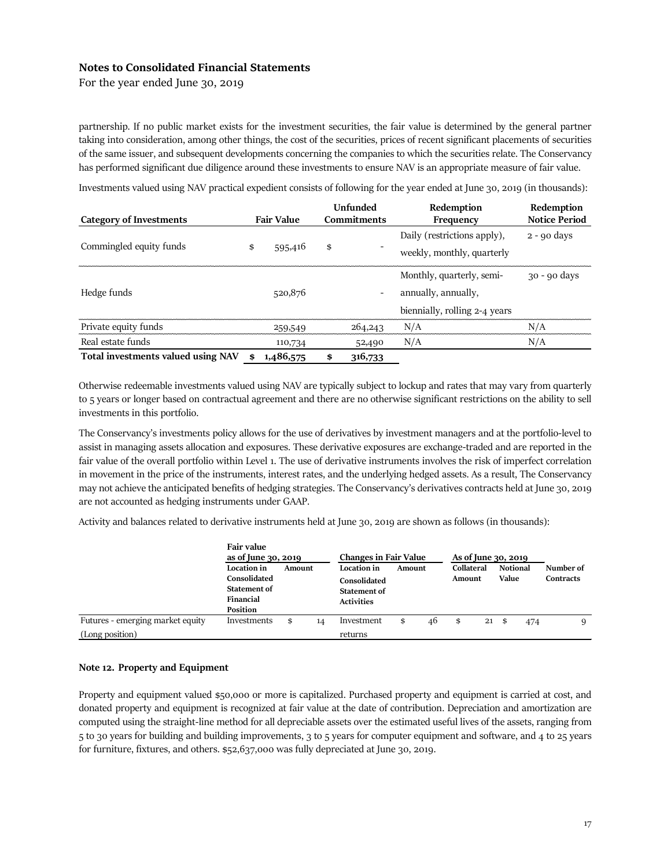For the year ended June 30, 2019

partnership. If no public market exists for the investment securities, the fair value is determined by the general partner taking into consideration, among other things, the cost of the securities, prices of recent significant placements of securities of the same issuer, and subsequent developments concerning the companies to which the securities relate. The Conservancy has performed significant due diligence around these investments to ensure NAV is an appropriate measure of fair value.

Investments valued using NAV practical expedient consists of following for the year ended at June 30, 2019 (in thousands):

|                                    |                   |           |                    | <b>Unfunded</b> | Redemption                    | Redemption           |
|------------------------------------|-------------------|-----------|--------------------|-----------------|-------------------------------|----------------------|
| <b>Category of Investments</b>     | <b>Fair Value</b> |           | <b>Commitments</b> |                 | Frequency                     | <b>Notice Period</b> |
| Commingled equity funds            |                   |           |                    |                 | Daily (restrictions apply),   | $2 - 90$ days        |
|                                    |                   | 595,416   | \$                 |                 | weekly, monthly, quarterly    |                      |
|                                    |                   |           |                    |                 | Monthly, quarterly, semi-     | $30 - 90$ days       |
| Hedge funds                        |                   | 520,876   |                    |                 | annually, annually,           |                      |
|                                    |                   |           |                    |                 | biennially, rolling 2-4 years |                      |
| Private equity funds               |                   | 259,549   |                    | 264,243         | N/A                           | N/A                  |
| Real estate funds                  |                   | 110,734   |                    | 52,490          | N/A                           | N/A                  |
| Total investments valued using NAV | \$                | 1,486,575 | \$                 | 316,733         |                               |                      |

Otherwise redeemable investments valued using NAV are typically subject to lockup and rates that may vary from quarterly to 5 years or longer based on contractual agreement and there are no otherwise significant restrictions on the ability to sell investments in this portfolio.

The Conservancy's investments policy allows for the use of derivatives by investment managers and at the portfolio-level to assist in managing assets allocation and exposures. These derivative exposures are exchange-traded and are reported in the fair value of the overall portfolio within Level 1. The use of derivative instruments involves the risk of imperfect correlation in movement in the price of the instruments, interest rates, and the underlying hedged assets. As a result, The Conservancy may not achieve the anticipated benefits of hedging strategies. The Conservancy's derivatives contracts held at June 30, 2019 are not accounted as hedging instruments under GAAP.

Activity and balances related to derivative instruments held at June 30, 2019 are shown as follows (in thousands):

|                                  | Fair value<br>as of June 30, 2019                                           |        |    | <b>Changes in Fair Value</b>                                     | As of June 30, 2019 |    |                      |              |                          |     |                               |
|----------------------------------|-----------------------------------------------------------------------------|--------|----|------------------------------------------------------------------|---------------------|----|----------------------|--------------|--------------------------|-----|-------------------------------|
|                                  | Location in<br>Consolidated<br>Statement of<br>Financial<br><b>Position</b> | Amount |    | Location in<br>Consolidated<br>Statement of<br><b>Activities</b> | Amount              |    | Collateral<br>Amount |              | <b>Notional</b><br>Value |     | Number of<br><b>Contracts</b> |
| Futures - emerging market equity | Investments                                                                 | \$     | 14 | Investment                                                       | \$                  | 46 | \$                   | $21 \quad $$ |                          | 474 | q                             |
| (Long position)                  |                                                                             |        |    | returns                                                          |                     |    |                      |              |                          |     |                               |

### **Note 12. Property and Equipment**

Property and equipment valued \$50,000 or more is capitalized. Purchased property and equipment is carried at cost, and donated property and equipment is recognized at fair value at the date of contribution. Depreciation and amortization are computed using the straight-line method for all depreciable assets over the estimated useful lives of the assets, ranging from 5 to 30 years for building and building improvements, 3 to 5 years for computer equipment and software, and 4 to 25 years for furniture, fixtures, and others. \$52,637,000 was fully depreciated at June 30, 2019.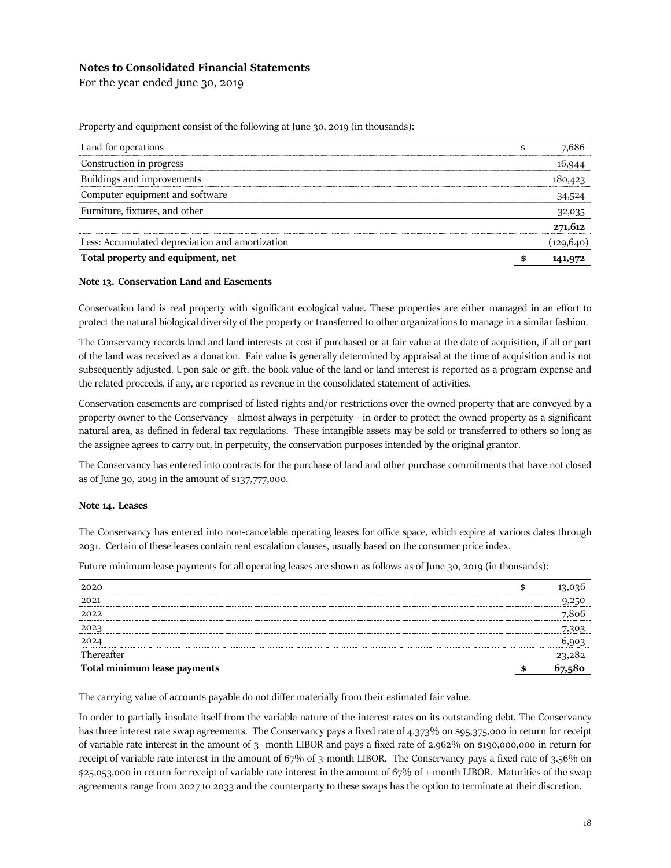For the year ended June 30, 2019

Property and equipment consist of the following at June 30, 2019 (in thousands):

| Land for operations                             | \$<br>7,686   |
|-------------------------------------------------|---------------|
| Construction in progress                        | 16,944        |
| Buildings and improvements                      | 180,423       |
| Computer equipment and software                 | 34,524        |
| Furniture, fixtures, and other                  | 32,035        |
|                                                 | 271,612       |
| Less: Accumulated depreciation and amortization | (129, 640)    |
| Total property and equipment, net               | \$<br>141,972 |

### **Note 13. Conservation Land and Easements**

Conservation land is real property with significant ecological value. These properties are either managed in an effort to protect the natural biological diversity of the property or transferred to other organizations to manage in a similar fashion.

The Conservancy records land and land interests at cost if purchased or at fair value at the date of acquisition, if all or part of the land was received as a donation. Fair value is generally determined by appraisal at the time of acquisition and is not subsequently adjusted. Upon sale or gift, the book value of the land or land interest is reported as a program expense and the related proceeds, if any, are reported as revenue in the consolidated statement of activities.

Conservation easements are comprised of listed rights and/or restrictions over the owned property that are conveyed by a property owner to the Conservancy - almost always in perpetuity - in order to protect the owned property as a significant natural area, as defined in federal tax regulations. These intangible assets may be sold or transferred to others so long as the assignee agrees to carry out, in perpetuity, the conservation purposes intended by the original grantor.

The Conservancy has entered into contracts for the purchase of land and other purchase commitments that have not closed as of June 30, 2019 in the amount of \$137,777,000.

### **Note 14. Leases**

The Conservancy has entered into non-cancelable operating leases for office space, which expire at various dates through 2031. Certain of these leases contain rent escalation clauses, usually based on the consumer price index.

Future minimum lease payments for all operating leases are shown as follows as of June 30, 2019 (in thousands):

| 2020                         |   |        |
|------------------------------|---|--------|
| 2021                         |   |        |
| 2022                         |   | .806   |
| 2023                         |   | 303 '  |
| 2024                         |   |        |
| Thereafter                   |   | 23,282 |
| Total minimum lease payments | œ |        |

The carrying value of accounts payable do not differ materially from their estimated fair value.

In order to partially insulate itself from the variable nature of the interest rates on its outstanding debt, The Conservancy has three interest rate swap agreements. The Conservancy pays a fixed rate of 4.373% on \$95,375,000 in return for receipt of variable rate interest in the amount of 3- month LIBOR and pays a fixed rate of 2.962% on \$190,000,000 in return for receipt of variable rate interest in the amount of 67% of 3-month LIBOR. The Conservancy pays a fixed rate of 3.56% on \$25,053,000 in return for receipt of variable rate interest in the amount of 67% of 1-month LIBOR. Maturities of the swap agreements range from 2027 to 2033 and the counterparty to these swaps has the option to terminate at their discretion.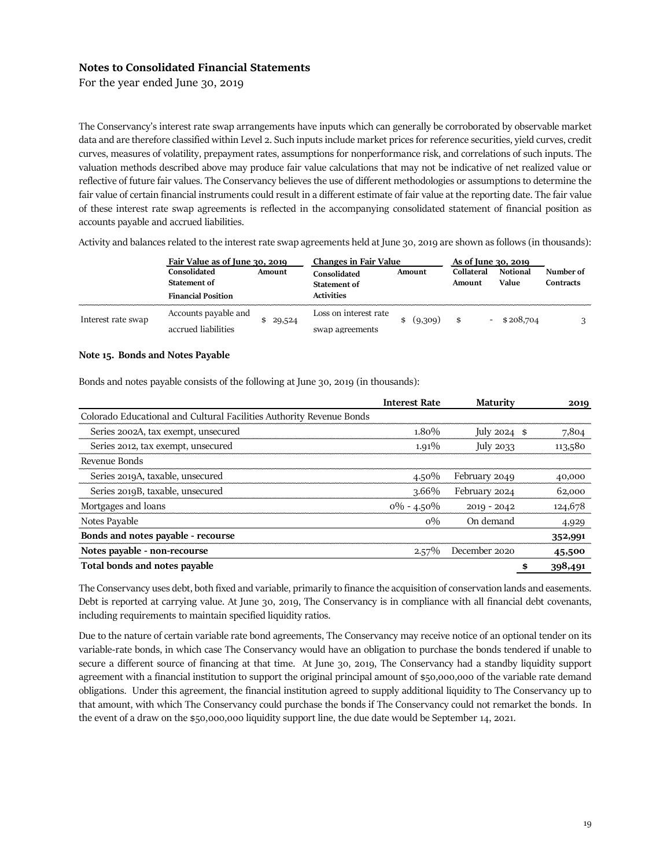For the year ended June 30, 2019

The Conservancy's interest rate swap arrangements have inputs which can generally be corroborated by observable market data and are therefore classified within Level 2. Such inputs include market prices for reference securities, yield curves, credit curves, measures of volatility, prepayment rates, assumptions for nonperformance risk, and correlations of such inputs. The valuation methods described above may produce fair value calculations that may not be indicative of net realized value or reflective of future fair values. The Conservancy believes the use of different methodologies or assumptions to determine the fair value of certain financial instruments could result in a different estimate of fair value at the reporting date. The fair value of these interest rate swap agreements is reflected in the accompanying consolidated statement of financial position as accounts payable and accrued liabilities.

Activity and balances related to the interest rate swap agreements held at June 30, 2019 are shown as follows (in thousands):

|                    | Fair Value as of June 30, 2019                |           | <b>Changes in Fair Value</b>        |         | As of June 30, 2019  |                          |                        |  |  |
|--------------------|-----------------------------------------------|-----------|-------------------------------------|---------|----------------------|--------------------------|------------------------|--|--|
|                    | Consolidated<br>Amount<br><b>Statement of</b> |           | Consolidated<br><b>Statement of</b> | Amount  | Collateral<br>Amount | <b>Notional</b><br>Value | Number of<br>Contracts |  |  |
|                    | <b>Financial Position</b>                     |           | <b>Activities</b>                   |         |                      |                          |                        |  |  |
| Interest rate swap | Accounts payable and                          | \$ 29,524 | Loss on interest rate               | (9,309) | \$                   | \$208,704                |                        |  |  |
|                    | accrued liabilities                           |           | swap agreements                     |         |                      |                          |                        |  |  |

#### **Note 15. Bonds and Notes Payable**

Bonds and notes payable consists of the following at June 30, 2019 (in thousands):

|                                                                      | <b>Interest Rate</b> | <b>Maturity</b> | 2019    |
|----------------------------------------------------------------------|----------------------|-----------------|---------|
| Colorado Educational and Cultural Facilities Authority Revenue Bonds |                      |                 |         |
| Series 2002A, tax exempt, unsecured                                  | $1.80\%$             | July $2024$ \$  | 7,804   |
| Series 2012, tax exempt, unsecured                                   | $1.91\%$             | July $2033$     | 113,580 |
| Revenue Bonds                                                        |                      |                 |         |
| Series 2019A, taxable, unsecured                                     | $4.50\%$             | February 2049   | 40,000  |
| Series 2019B, taxable, unsecured                                     | $3.66\%$             | February 2024   | 62,000  |
| Mortgages and loans                                                  | $0\% - 4.50\%$       | $2019 - 2042$   | 124,678 |
| Notes Payable                                                        | $0\%$                | On demand       | 4,929   |
| Bonds and notes payable - recourse                                   |                      |                 | 352,991 |
| Notes payable - non-recourse                                         | $2.57\%$             | December 2020   | 45,500  |
| Total bonds and notes payable                                        |                      | \$              | 398,491 |

The Conservancy uses debt, both fixed and variable, primarily to finance the acquisition of conservation lands and easements. Debt is reported at carrying value. At June 30, 2019, The Conservancy is in compliance with all financial debt covenants, including requirements to maintain specified liquidity ratios.

Due to the nature of certain variable rate bond agreements, The Conservancy may receive notice of an optional tender on its variable-rate bonds, in which case The Conservancy would have an obligation to purchase the bonds tendered if unable to secure a different source of financing at that time. At June 30, 2019, The Conservancy had a standby liquidity support agreement with a financial institution to support the original principal amount of \$50,000,000 of the variable rate demand obligations. Under this agreement, the financial institution agreed to supply additional liquidity to The Conservancy up to that amount, with which The Conservancy could purchase the bonds if The Conservancy could not remarket the bonds. In the event of a draw on the \$50,000,000 liquidity support line, the due date would be September 14, 2021.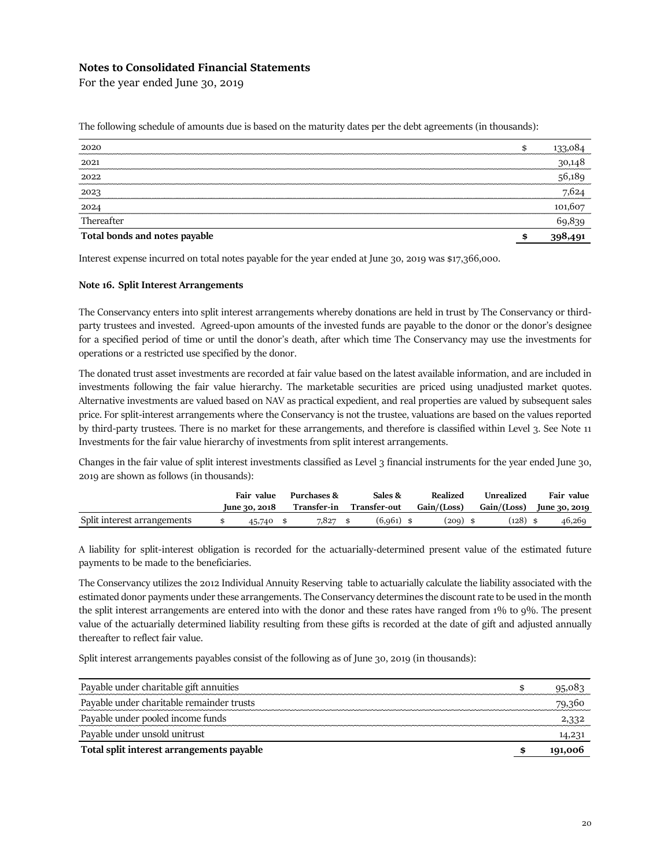For the year ended June 30, 2019

| 2020                          | \$ | 133,084 |
|-------------------------------|----|---------|
| 2021                          |    | 30,148  |
| 2022                          |    | 56,189  |
| 2023                          |    | 7,624   |
| 2024                          |    | 101,607 |
| Thereafter                    |    | 69,839  |
| Total bonds and notes payable | œ  | 398,491 |

The following schedule of amounts due is based on the maturity dates per the debt agreements (in thousands):

Interest expense incurred on total notes payable for the year ended at June 30, 2019 was \$17,366,000.

### **Note 16. Split Interest Arrangements**

The Conservancy enters into split interest arrangements whereby donations are held in trust by The Conservancy or thirdparty trustees and invested. Agreed-upon amounts of the invested funds are payable to the donor or the donor's designee for a specified period of time or until the donor's death, after which time The Conservancy may use the investments for operations or a restricted use specified by the donor.

The donated trust asset investments are recorded at fair value based on the latest available information, and are included in investments following the fair value hierarchy. The marketable securities are priced using unadjusted market quotes. Alternative investments are valued based on NAV as practical expedient, and real properties are valued by subsequent sales price. For split-interest arrangements where the Conservancy is not the trustee, valuations are based on the values reported by third-party trustees. There is no market for these arrangements, and therefore is classified within Level 3. See Note 11 Investments for the fair value hierarchy of investments from split interest arrangements.

Changes in the fair value of split interest investments classified as Level 3 financial instruments for the year ended June 30, 2019 are shown as follows (in thousands):

|                             | Fair value        | Purchases & | Sales &      | Realized    | Unrealized                  | Fair value |
|-----------------------------|-------------------|-------------|--------------|-------------|-----------------------------|------------|
|                             | $\mu$ ne 30, 2018 | Transfer-in | Transfer-out | Gain/(Loss) | $Gain/(Loss)$ June 30, 2019 |            |
| Split interest arrangements | 45,740 \$         | $7.827$ \$  | $(6,961)$ \$ | $(209)$ \$  | $(128)$ \$                  | 46,269     |

A liability for split-interest obligation is recorded for the actuarially-determined present value of the estimated future payments to be made to the beneficiaries.

The Conservancy utilizes the 2012 Individual Annuity Reserving table to actuarially calculate the liability associated with the estimated donor payments under these arrangements. The Conservancy determines the discount rate to be used in the month the split interest arrangements are entered into with the donor and these rates have ranged from 1% to 9%. The present value of the actuarially determined liability resulting from these gifts is recorded at the date of gift and adjusted annually thereafter to reflect fair value.

Split interest arrangements payables consist of the following as of June 30, 2019 (in thousands):

| Payable under charitable gift annuities   | 95,083  |
|-------------------------------------------|---------|
| Payable under charitable remainder trusts | 79,360  |
| Payable under pooled income funds         |         |
| Payable under unsold unitrust             | 14,231  |
| Total split interest arrangements payable | 191,006 |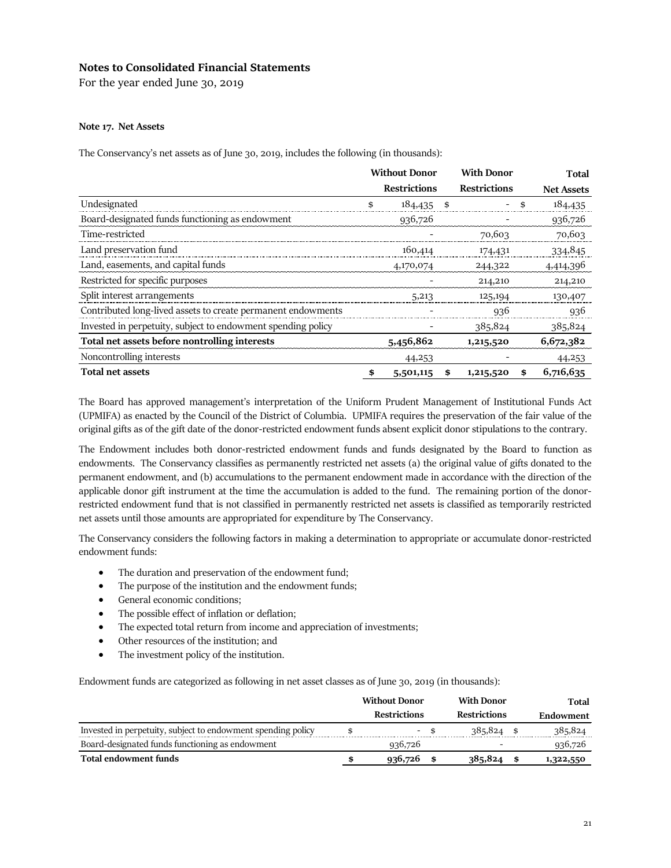For the year ended June 30, 2019

## **Note 17. Net Assets**

The Conservancy's net assets as of June 30, 2019, includes the following (in thousands):

|                                                              | <b>Without Donor</b> |                     |    | <b>With Donor</b>   | <b>Total</b>      |
|--------------------------------------------------------------|----------------------|---------------------|----|---------------------|-------------------|
|                                                              |                      | <b>Restrictions</b> |    | <b>Restrictions</b> | <b>Net Assets</b> |
| Undesignated                                                 | \$                   | 184,435             | \$ |                     | \$<br>184,435     |
| Board-designated funds functioning as endowment              |                      | 936,726             |    |                     | 936,726           |
| Time-restricted                                              |                      |                     |    | 70,603              | 70,603            |
| Land preservation fund                                       |                      | 160,414             |    | 174,431             | 334,845           |
| Land, easements, and capital funds                           |                      | 4,170,074           |    | 244,322             | 4,414,396         |
| Restricted for specific purposes                             |                      |                     |    | 214,210             | 214,210           |
| Split interest arrangements                                  |                      | 5,213               |    | 125,194             | 130,407           |
| Contributed long-lived assets to create permanent endowments |                      |                     |    | 936                 | 936               |
| Invested in perpetuity, subject to endowment spending policy |                      |                     |    | 385,824             | 385,824           |
| Total net assets before nontrolling interests                |                      | 5,456,862           |    | 1,215,520           | 6,672,382         |
| Noncontrolling interests                                     |                      | 44,253              |    |                     | 44,253            |
| <b>Total net assets</b>                                      | \$                   | 5,501,115           | \$ | 1,215,520           | \$<br>6,716,635   |

The Board has approved management's interpretation of the Uniform Prudent Management of Institutional Funds Act (UPMIFA) as enacted by the Council of the District of Columbia. UPMIFA requires the preservation of the fair value of the original gifts as of the gift date of the donor-restricted endowment funds absent explicit donor stipulations to the contrary.

The Endowment includes both donor-restricted endowment funds and funds designated by the Board to function as endowments. The Conservancy classifies as permanently restricted net assets (a) the original value of gifts donated to the permanent endowment, and (b) accumulations to the permanent endowment made in accordance with the direction of the applicable donor gift instrument at the time the accumulation is added to the fund. The remaining portion of the donorrestricted endowment fund that is not classified in permanently restricted net assets is classified as temporarily restricted net assets until those amounts are appropriated for expenditure by The Conservancy.

The Conservancy considers the following factors in making a determination to appropriate or accumulate donor-restricted endowment funds:

- The duration and preservation of the endowment fund;
- The purpose of the institution and the endowment funds;
- General economic conditions;
- The possible effect of inflation or deflation;
- The expected total return from income and appreciation of investments;
- Other resources of the institution; and
- The investment policy of the institution.

Endowment funds are categorized as following in net asset classes as of June 30, 2019 (in thousands):

|                                                              | <b>Without Donor</b> |  | <b>With Donor</b>   | Total     |
|--------------------------------------------------------------|----------------------|--|---------------------|-----------|
|                                                              | <b>Restrictions</b>  |  | <b>Restrictions</b> | Endowment |
| Invested in perpetuity, subject to endowment spending policy | - \$                 |  | 385,824             | 385,824   |
| Board-designated funds functioning as endowment              | 936,726              |  |                     | 936,726   |
| Total endowment funds                                        | 936,726              |  | 385,824             | 1,322,550 |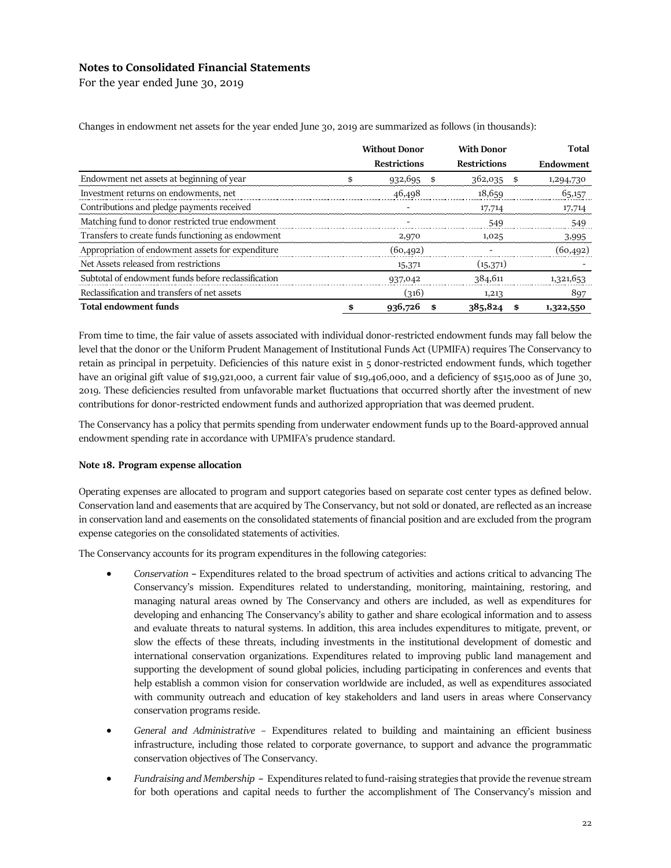For the year ended June 30, 2019

|                                                     | <b>Without Donor</b> | <b>With Donor</b>   |    | Total     |
|-----------------------------------------------------|----------------------|---------------------|----|-----------|
|                                                     | <b>Restrictions</b>  | <b>Restrictions</b> |    | Endowment |
| Endowment net assets at beginning of year           | 932,695              | 362,035<br>\$       | \$ | 1,294,730 |
| Investment returns on endowments, net               | 46,498               | 18.659              |    | 65,157    |
| Contributions and pledge payments received          |                      | 17,714              |    | 17,714    |
| Matching fund to donor restricted true endowment    |                      | 549                 |    | 549       |
| Transfers to create funds functioning as endowment  | 2,970                | 1,025               |    | 3,995     |
| Appropriation of endowment assets for expenditure   | (60,492)             |                     |    | (60,492)  |
| Net Assets released from restrictions               | 15,371               | (15, 371)           |    |           |
| Subtotal of endowment funds before reclassification | 937,042              | 384,611             |    | 1,321,653 |
| Reclassification and transfers of net assets        | (ว16)                | 1,213               |    | 897       |
| <b>Total endowment funds</b>                        | 936,726              | 385,824             | S  | 1,322,550 |

Changes in endowment net assets for the year ended June 30, 2019 are summarized as follows (in thousands):

From time to time, the fair value of assets associated with individual donor-restricted endowment funds may fall below the level that the donor or the Uniform Prudent Management of Institutional Funds Act (UPMIFA) requires The Conservancy to retain as principal in perpetuity. Deficiencies of this nature exist in 5 donor-restricted endowment funds, which together have an original gift value of \$19,921,000, a current fair value of \$19,406,000, and a deficiency of \$515,000 as of June 30, 2019. These deficiencies resulted from unfavorable market fluctuations that occurred shortly after the investment of new contributions for donor-restricted endowment funds and authorized appropriation that was deemed prudent.

The Conservancy has a policy that permits spending from underwater endowment funds up to the Board-approved annual endowment spending rate in accordance with UPMIFA's prudence standard.

## **Note 18. Program expense allocation**

Operating expenses are allocated to program and support categories based on separate cost center types as defined below. Conservation land and easements that are acquired by The Conservancy, but not sold or donated, are reflected as an increase in conservation land and easements on the consolidated statements of financial position and are excluded from the program expense categories on the consolidated statements of activities.

The Conservancy accounts for its program expenditures in the following categories:

- *Conservation* **–** Expenditures related to the broad spectrum of activities and actions critical to advancing The Conservancy's mission. Expenditures related to understanding, monitoring, maintaining, restoring, and managing natural areas owned by The Conservancy and others are included, as well as expenditures for developing and enhancing The Conservancy's ability to gather and share ecological information and to assess and evaluate threats to natural systems. In addition, this area includes expenditures to mitigate, prevent, or slow the effects of these threats, including investments in the institutional development of domestic and international conservation organizations. Expenditures related to improving public land management and supporting the development of sound global policies, including participating in conferences and events that help establish a common vision for conservation worldwide are included, as well as expenditures associated with community outreach and education of key stakeholders and land users in areas where Conservancy conservation programs reside.
- *General and Administrative* Expenditures related to building and maintaining an efficient business infrastructure, including those related to corporate governance, to support and advance the programmatic conservation objectives of The Conservancy.
- *Fundraising and Membership* **–** Expenditures related to fund-raising strategies that provide the revenue stream for both operations and capital needs to further the accomplishment of The Conservancy's mission and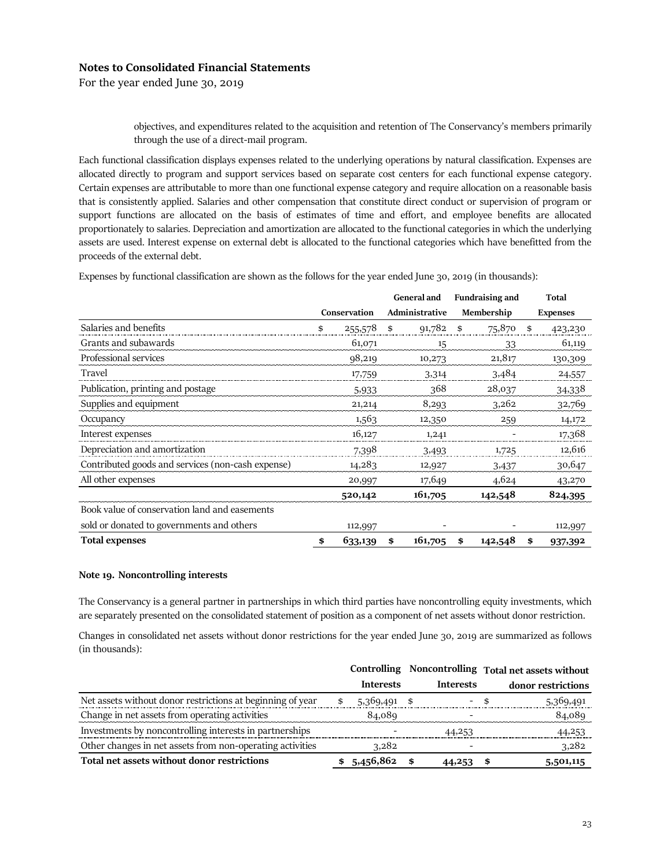For the year ended June 30, 2019

objectives, and expenditures related to the acquisition and retention of The Conservancy's members primarily through the use of a direct-mail program.

Each functional classification displays expenses related to the underlying operations by natural classification. Expenses are allocated directly to program and support services based on separate cost centers for each functional expense category. Certain expenses are attributable to more than one functional expense category and require allocation on a reasonable basis that is consistently applied. Salaries and other compensation that constitute direct conduct or supervision of program or support functions are allocated on the basis of estimates of time and effort, and employee benefits are allocated proportionately to salaries. Depreciation and amortization are allocated to the functional categories in which the underlying assets are used. Interest expense on external debt is allocated to the functional categories which have benefitted from the proceeds of the external debt.

Expenses by functional classification are shown as the follows for the year ended June 30, 2019 (in thousands):

|                                                   |    |              |    | <b>General and</b> | <b>Fundraising and</b> |         |    | <b>Total</b>    |
|---------------------------------------------------|----|--------------|----|--------------------|------------------------|---------|----|-----------------|
|                                                   |    | Conservation |    | Administrative     | Membership             |         |    | <b>Expenses</b> |
| Salaries and benefits                             | \$ | 255,578      | \$ | 91,782             | \$                     | 75,870  | \$ | 423,230         |
| Grants and subawards                              |    | 61,071       |    | 15                 |                        | 33      |    | 61,119          |
| Professional services                             |    | 98,219       |    | 10,273             |                        | 21,817  |    | 130,309         |
| Travel                                            |    | 17,759       |    | 3,314              |                        | 3,484   |    | 24,557          |
| Publication, printing and postage                 |    | 5,933        |    | 368                |                        | 28,037  |    | 34,338          |
| Supplies and equipment                            |    | 21,214       |    | 8,293              |                        | 3,262   |    | 32,769          |
| Occupancy                                         |    | 1,563        |    | 12,350             |                        | 259     |    | 14,172          |
| Interest expenses                                 |    | 16,127       |    | 1,241              |                        |         |    | 17,368          |
| Depreciation and amortization                     |    | 7,398        |    | 3,493              |                        | 1,725   |    | 12,616          |
| Contributed goods and services (non-cash expense) |    | 14,283       |    | 12,927             |                        | 3,437   |    | 30,647          |
| All other expenses                                |    | 20,997       |    | 17,649             |                        | 4,624   |    | 43,270          |
|                                                   |    | 520,142      |    | 161,705            |                        | 142,548 |    | 824,395         |
| Book value of conservation land and easements     |    |              |    |                    |                        |         |    |                 |
| sold or donated to governments and others         |    | 112,997      |    |                    |                        |         |    | 112,997         |
| <b>Total expenses</b>                             | \$ | 633,139      | \$ | 161,705            | \$                     | 142,548 | \$ | 937,392         |

## **Note 19. Noncontrolling interests**

The Conservancy is a general partner in partnerships in which third parties have noncontrolling equity investments, which are separately presented on the consolidated statement of position as a component of net assets without donor restriction.

Changes in consolidated net assets without donor restrictions for the year ended June 30, 2019 are summarized as follows (in thousands):

|                                                            |                  |                  | Controlling Noncontrolling Total net assets without |
|------------------------------------------------------------|------------------|------------------|-----------------------------------------------------|
|                                                            | <b>Interests</b> | <b>Interests</b> | donor restrictions                                  |
| Net assets without donor restrictions at beginning of year | 5,369,491        | \$               | 5,369,491                                           |
| Change in net assets from operating activities             | 84,089           |                  | 84,089                                              |
| Investments by noncontrolling interests in partnerships    |                  | 44,253           | 44,253                                              |
| Other changes in net assets from non-operating activities  | 3,282            |                  | 3,282                                               |
| Total net assets without donor restrictions                | 5,456,862        | 44,253           | 5,501,115                                           |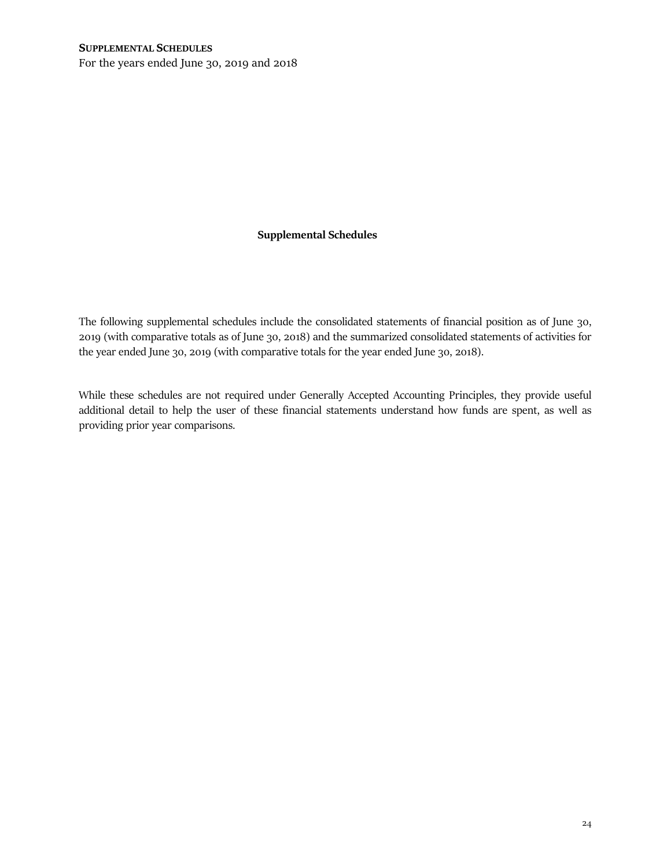For the years ended June 30, 2019 and 2018

## **Supplemental Schedules**

The following supplemental schedules include the consolidated statements of financial position as of June 30, 2019 (with comparative totals as of June 30, 2018) and the summarized consolidated statements of activities for the year ended June 30, 2019 (with comparative totals for the year ended June 30, 2018).

While these schedules are not required under Generally Accepted Accounting Principles, they provide useful additional detail to help the user of these financial statements understand how funds are spent, as well as providing prior year comparisons.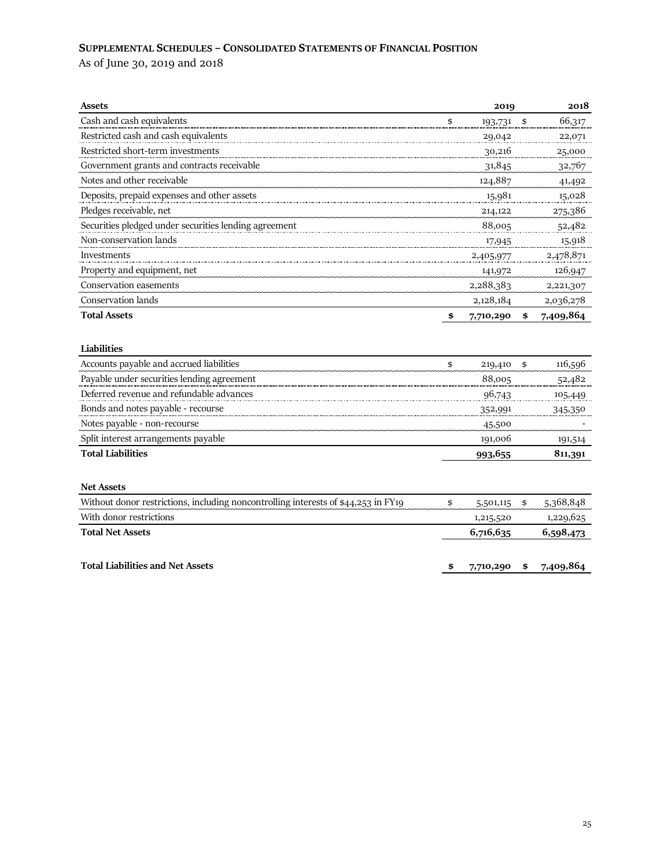# **SUPPLEMENTAL SCHEDULES – CONSOLIDATED STATEMENTS OF FINANCIAL POSITION**

As of June 30, 2019 and 2018

| Assets                                                                             | 2019             | 2018            |
|------------------------------------------------------------------------------------|------------------|-----------------|
| Cash and cash equivalents                                                          | \$<br>193,731 \$ | 66,317          |
| Restricted cash and cash equivalents                                               | 29,042           | 22,071          |
| Restricted short-term investments                                                  | 30,216           | 25,000          |
| Government grants and contracts receivable                                         | 31,845           | 32,767          |
| Notes and other receivable                                                         | 124,887          | 41,492          |
| Deposits, prepaid expenses and other assets                                        | 15,981           | 15,028          |
| Pledges receivable, net                                                            | 214,122          | 275,386         |
| Securities pledged under securities lending agreement                              | 88,005           | 52,482          |
| Non-conservation lands                                                             | 17,945           | 15,918          |
| Investments                                                                        | 2,405,977        | 2,478,871       |
| Property and equipment, net                                                        | 141,972          | 126,947         |
| Conservation easements                                                             | 2,288,383        | 2,221,307       |
| Conservation lands                                                                 | 2,128,184        | 2,036,278       |
| <b>Total Assets</b>                                                                | \$<br>7,710,290  | \$<br>7,409,864 |
| Liabilities                                                                        |                  |                 |
| Accounts payable and accrued liabilities                                           | \$<br>219,410    | \$<br>116,596   |
| Payable under securities lending agreement                                         | 88,005           | 52,482          |
| Deferred revenue and refundable advances                                           | 96,743           | 105,449         |
| Bonds and notes payable - recourse                                                 | 352,991          | 345,350         |
| Notes payable - non-recourse                                                       | 45,500           |                 |
| Split interest arrangements payable                                                | 191,006          | 191,514         |
| <b>Total Liabilities</b>                                                           | 993,655          | 811,391         |
| <b>Net Assets</b>                                                                  |                  |                 |
| Without donor restrictions, including noncontrolling interests of \$44,253 in FY19 | \$<br>5,501,115  | \$<br>5,368,848 |
| With donor restrictions                                                            | 1,215,520        | 1,229,625       |
| <b>Total Net Assets</b>                                                            | 6,716,635        | 6,598,473       |
| <b>Total Liabilities and Net Assets</b>                                            | \$<br>7,710,290  | \$<br>7,409,864 |